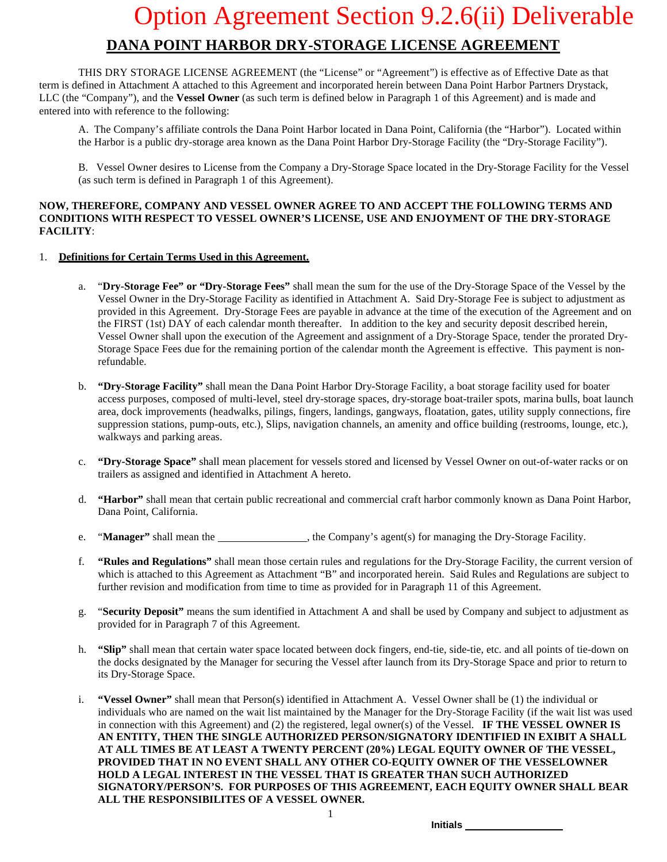### Option Agreement Section 9.2.6(ii) Deliverable **DANA POINT HARBOR DRY-STORAGE LICENSE AGREEMENT**

THIS DRY STORAGE LICENSE AGREEMENT (the "License" or "Agreement") is effective as of Effective Date as that term is defined in Attachment A attached to this Agreement and incorporated herein between Dana Point Harbor Partners Drystack, LLC (the "Company"), and the **Vessel Owner** (as such term is defined below in Paragraph 1 of this Agreement) and is made and entered into with reference to the following:

A. The Company's affiliate controls the Dana Point Harbor located in Dana Point, California (the "Harbor"). Located within the Harbor is a public dry-storage area known as the Dana Point Harbor Dry-Storage Facility (the "Dry-Storage Facility").

B. Vessel Owner desires to License from the Company a Dry-Storage Space located in the Dry-Storage Facility for the Vessel (as such term is defined in Paragraph 1 of this Agreement).

### **NOW, THEREFORE, COMPANY AND VESSEL OWNER AGREE TO AND ACCEPT THE FOLLOWING TERMS AND CONDITIONS WITH RESPECT TO VESSEL OWNER'S LICENSE, USE AND ENJOYMENT OF THE DRY-STORAGE FACILITY**:

### 1. **Definitions for Certain Terms Used in this Agreement.**

- a. "**Dry-Storage Fee" or "Dry-Storage Fees"** shall mean the sum for the use of the Dry-Storage Space of the Vessel by the Vessel Owner in the Dry-Storage Facility as identified in Attachment A. Said Dry-Storage Fee is subject to adjustment as provided in this Agreement. Dry-Storage Fees are payable in advance at the time of the execution of the Agreement and on the FIRST (1st) DAY of each calendar month thereafter. In addition to the key and security deposit described herein, Vessel Owner shall upon the execution of the Agreement and assignment of a Dry-Storage Space, tender the prorated Dry-Storage Space Fees due for the remaining portion of the calendar month the Agreement is effective. This payment is nonrefundable.
- b. **"Dry-Storage Facility"** shall mean the Dana Point Harbor Dry-Storage Facility, a boat storage facility used for boater access purposes, composed of multi-level, steel dry-storage spaces, dry-storage boat-trailer spots, marina bulls, boat launch area, dock improvements (headwalks, pilings, fingers, landings, gangways, floatation, gates, utility supply connections, fire suppression stations, pump-outs, etc.), Slips, navigation channels, an amenity and office building (restrooms, lounge, etc.), walkways and parking areas.
- c. **"Dry-Storage Space"** shall mean placement for vessels stored and licensed by Vessel Owner on out-of-water racks or on trailers as assigned and identified in Attachment A hereto.
- d. **"Harbor"** shall mean that certain public recreational and commercial craft harbor commonly known as Dana Point Harbor, Dana Point, California.
- e. "**Manager**" shall mean the \_\_\_\_\_\_\_\_\_\_\_\_\_\_\_, the Company's agent(s) for managing the Dry-Storage Facility.
- f. **"Rules and Regulations"** shall mean those certain rules and regulations for the Dry-Storage Facility, the current version of which is attached to this Agreement as Attachment "B" and incorporated herein. Said Rules and Regulations are subject to further revision and modification from time to time as provided for in Paragraph 11 of this Agreement.
- g. "**Security Deposit"** means the sum identified in Attachment A and shall be used by Company and subject to adjustment as provided for in Paragraph 7 of this Agreement.
- h. **"Slip"** shall mean that certain water space located between dock fingers, end-tie, side-tie, etc. and all points of tie-down on the docks designated by the Manager for securing the Vessel after launch from its Dry-Storage Space and prior to return to its Dry-Storage Space.
- i. **"Vessel Owner"** shall mean that Person(s) identified in Attachment A. Vessel Owner shall be (1) the individual or individuals who are named on the wait list maintained by the Manager for the Dry-Storage Facility (if the wait list was used in connection with this Agreement) and (2) the registered, legal owner(s) of the Vessel. **IF THE VESSEL OWNER IS AN ENTITY, THEN THE SINGLE AUTHORIZED PERSON/SIGNATORY IDENTIFIED IN EXIBIT A SHALL AT ALL TIMES BE AT LEAST A TWENTY PERCENT (20%) LEGAL EQUITY OWNER OF THE VESSEL, PROVIDED THAT IN NO EVENT SHALL ANY OTHER CO-EQUITY OWNER OF THE VESSELOWNER HOLD A LEGAL INTEREST IN THE VESSEL THAT IS GREATER THAN SUCH AUTHORIZED SIGNATORY/PERSON'S. FOR PURPOSES OF THIS AGREEMENT, EACH EQUITY OWNER SHALL BEAR ALL THE RESPONSIBILITES OF A VESSEL OWNER.**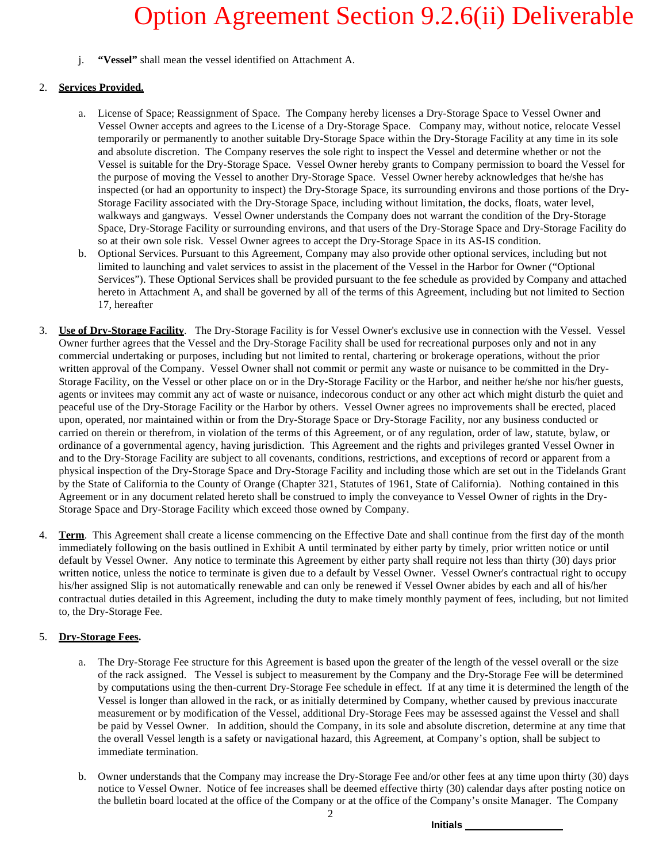j. **"Vessel"** shall mean the vessel identified on Attachment A.

### 2. **Services Provided.**

- a. License of Space; Reassignment of Space. The Company hereby licenses a Dry-Storage Space to Vessel Owner and Vessel Owner accepts and agrees to the License of a Dry-Storage Space. Company may, without notice, relocate Vessel temporarily or permanently to another suitable Dry-Storage Space within the Dry-Storage Facility at any time in its sole and absolute discretion. The Company reserves the sole right to inspect the Vessel and determine whether or not the Vessel is suitable for the Dry-Storage Space. Vessel Owner hereby grants to Company permission to board the Vessel for the purpose of moving the Vessel to another Dry-Storage Space. Vessel Owner hereby acknowledges that he/she has inspected (or had an opportunity to inspect) the Dry-Storage Space, its surrounding environs and those portions of the Dry-Storage Facility associated with the Dry-Storage Space, including without limitation, the docks, floats, water level, walkways and gangways. Vessel Owner understands the Company does not warrant the condition of the Dry-Storage Space, Dry-Storage Facility or surrounding environs, and that users of the Dry-Storage Space and Dry-Storage Facility do so at their own sole risk. Vessel Owner agrees to accept the Dry-Storage Space in its AS-IS condition.
- b. Optional Services. Pursuant to this Agreement, Company may also provide other optional services, including but not limited to launching and valet services to assist in the placement of the Vessel in the Harbor for Owner ("Optional Services"). These Optional Services shall be provided pursuant to the fee schedule as provided by Company and attached hereto in Attachment A, and shall be governed by all of the terms of this Agreement, including but not limited to Section 17, hereafter
- 3. **Use of Dry-Storage Facility**. The Dry-Storage Facility is for Vessel Owner's exclusive use in connection with the Vessel. Vessel Owner further agrees that the Vessel and the Dry-Storage Facility shall be used for recreational purposes only and not in any commercial undertaking or purposes, including but not limited to rental, chartering or brokerage operations, without the prior written approval of the Company. Vessel Owner shall not commit or permit any waste or nuisance to be committed in the Dry-Storage Facility, on the Vessel or other place on or in the Dry-Storage Facility or the Harbor, and neither he/she nor his/her guests, agents or invitees may commit any act of waste or nuisance, indecorous conduct or any other act which might disturb the quiet and peaceful use of the Dry-Storage Facility or the Harbor by others. Vessel Owner agrees no improvements shall be erected, placed upon, operated, nor maintained within or from the Dry-Storage Space or Dry-Storage Facility, nor any business conducted or carried on therein or therefrom, in violation of the terms of this Agreement, or of any regulation, order of law, statute, bylaw, or ordinance of a governmental agency, having jurisdiction. This Agreement and the rights and privileges granted Vessel Owner in and to the Dry-Storage Facility are subject to all covenants, conditions, restrictions, and exceptions of record or apparent from a physical inspection of the Dry-Storage Space and Dry-Storage Facility and including those which are set out in the Tidelands Grant by the State of California to the County of Orange (Chapter 321, Statutes of 1961, State of California). Nothing contained in this Agreement or in any document related hereto shall be construed to imply the conveyance to Vessel Owner of rights in the Dry-Storage Space and Dry-Storage Facility which exceed those owned by Company.
- 4. **Term**. This Agreement shall create a license commencing on the Effective Date and shall continue from the first day of the month immediately following on the basis outlined in Exhibit A until terminated by either party by timely, prior written notice or until default by Vessel Owner. Any notice to terminate this Agreement by either party shall require not less than thirty (30) days prior written notice, unless the notice to terminate is given due to a default by Vessel Owner. Vessel Owner's contractual right to occupy his/her assigned Slip is not automatically renewable and can only be renewed if Vessel Owner abides by each and all of his/her contractual duties detailed in this Agreement, including the duty to make timely monthly payment of fees, including, but not limited to, the Dry-Storage Fee.

### 5. **Dry-Storage Fees.**

- a. The Dry-Storage Fee structure for this Agreement is based upon the greater of the length of the vessel overall or the size of the rack assigned. The Vessel is subject to measurement by the Company and the Dry-Storage Fee will be determined by computations using the then-current Dry-Storage Fee schedule in effect. If at any time it is determined the length of the Vessel is longer than allowed in the rack, or as initially determined by Company, whether caused by previous inaccurate measurement or by modification of the Vessel, additional Dry-Storage Fees may be assessed against the Vessel and shall be paid by Vessel Owner. In addition, should the Company, in its sole and absolute discretion, determine at any time that the overall Vessel length is a safety or navigational hazard, this Agreement, at Company's option, shall be subject to immediate termination.
- b. Owner understands that the Company may increase the Dry-Storage Fee and/or other fees at any time upon thirty (30) days notice to Vessel Owner. Notice of fee increases shall be deemed effective thirty (30) calendar days after posting notice on the bulletin board located at the office of the Company or at the office of the Company's onsite Manager. The Company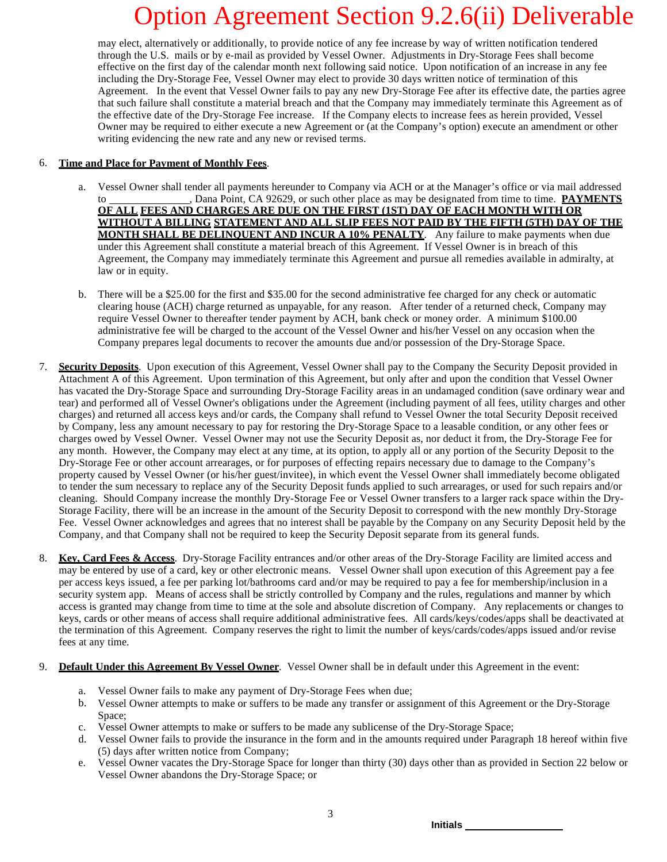may elect, alternatively or additionally, to provide notice of any fee increase by way of written notification tendered through the U.S. mails or by e-mail as provided by Vessel Owner. Adjustments in Dry-Storage Fees shall become effective on the first day of the calendar month next following said notice. Upon notification of an increase in any fee including the Dry-Storage Fee, Vessel Owner may elect to provide 30 days written notice of termination of this Agreement. In the event that Vessel Owner fails to pay any new Dry-Storage Fee after its effective date, the parties agree that such failure shall constitute a material breach and that the Company may immediately terminate this Agreement as of the effective date of the Dry-Storage Fee increase. If the Company elects to increase fees as herein provided, Vessel Owner may be required to either execute a new Agreement or (at the Company's option) execute an amendment or other writing evidencing the new rate and any new or revised terms.

### 6. **Time and Place for Payment of Monthly Fees**.

- a. Vessel Owner shall tender all payments hereunder to Company via ACH or at the Manager's office or via mail addressed to , Dana Point, CA 92629, or such other place as may be designated from time to time. **PAYMENTS OF ALL FEES AND CHARGES ARE DUE ON THE FIRST (1ST) DAY OF EACH MONTH WITH OR WITHOUT A BILLING STATEMENT AND ALL SLIP FEES NOT PAID BY THE FIFTH (5TH) DAY OF THE MONTH SHALL BE DELINQUENT AND INCUR A 10% PENALTY**. Any failure to make payments when due under this Agreement shall constitute a material breach of this Agreement. If Vessel Owner is in breach of this Agreement, the Company may immediately terminate this Agreement and pursue all remedies available in admiralty, at law or in equity.
- b. There will be a \$25.00 for the first and \$35.00 for the second administrative fee charged for any check or automatic clearing house (ACH) charge returned as unpayable, for any reason. After tender of a returned check, Company may require Vessel Owner to thereafter tender payment by ACH, bank check or money order. A minimum \$100.00 administrative fee will be charged to the account of the Vessel Owner and his/her Vessel on any occasion when the Company prepares legal documents to recover the amounts due and/or possession of the Dry-Storage Space.
- 7. **Security Deposits**. Upon execution of this Agreement, Vessel Owner shall pay to the Company the Security Deposit provided in Attachment A of this Agreement. Upon termination of this Agreement, but only after and upon the condition that Vessel Owner has vacated the Dry-Storage Space and surrounding Dry-Storage Facility areas in an undamaged condition (save ordinary wear and tear) and performed all of Vessel Owner's obligations under the Agreement (including payment of all fees, utility charges and other charges) and returned all access keys and/or cards, the Company shall refund to Vessel Owner the total Security Deposit received by Company, less any amount necessary to pay for restoring the Dry-Storage Space to a leasable condition, or any other fees or charges owed by Vessel Owner. Vessel Owner may not use the Security Deposit as, nor deduct it from, the Dry-Storage Fee for any month. However, the Company may elect at any time, at its option, to apply all or any portion of the Security Deposit to the Dry-Storage Fee or other account arrearages, or for purposes of effecting repairs necessary due to damage to the Company's property caused by Vessel Owner (or his/her guest/invitee), in which event the Vessel Owner shall immediately become obligated to tender the sum necessary to replace any of the Security Deposit funds applied to such arrearages, or used for such repairs and/or cleaning. Should Company increase the monthly Dry-Storage Fee or Vessel Owner transfers to a larger rack space within the Dry-Storage Facility, there will be an increase in the amount of the Security Deposit to correspond with the new monthly Dry-Storage Fee. Vessel Owner acknowledges and agrees that no interest shall be payable by the Company on any Security Deposit held by the Company, and that Company shall not be required to keep the Security Deposit separate from its general funds.
- 8. **Key, Card Fees & Access**. Dry-Storage Facility entrances and/or other areas of the Dry-Storage Facility are limited access and may be entered by use of a card, key or other electronic means. Vessel Owner shall upon execution of this Agreement pay a fee per access keys issued, a fee per parking lot/bathrooms card and/or may be required to pay a fee for membership/inclusion in a security system app. Means of access shall be strictly controlled by Company and the rules, regulations and manner by which access is granted may change from time to time at the sole and absolute discretion of Company. Any replacements or changes to keys, cards or other means of access shall require additional administrative fees. All cards/keys/codes/apps shall be deactivated at the termination of this Agreement. Company reserves the right to limit the number of keys/cards/codes/apps issued and/or revise fees at any time.
- 9. **Default Under this Agreement By Vessel Owner**. Vessel Owner shall be in default under this Agreement in the event:
	- a. Vessel Owner fails to make any payment of Dry-Storage Fees when due;
	- b. Vessel Owner attempts to make or suffers to be made any transfer or assignment of this Agreement or the Dry-Storage Space;
	- c. Vessel Owner attempts to make or suffers to be made any sublicense of the Dry-Storage Space;
	- d. Vessel Owner fails to provide the insurance in the form and in the amounts required under Paragraph 18 hereof within five (5) days after written notice from Company;
	- e. Vessel Owner vacates the Dry-Storage Space for longer than thirty (30) days other than as provided in Section 22 below or Vessel Owner abandons the Dry-Storage Space; or

3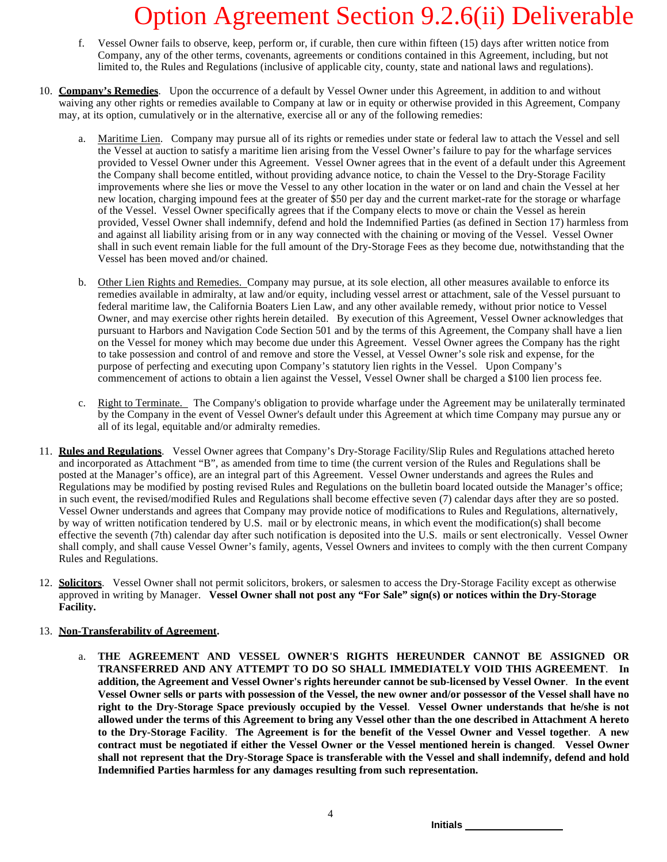- f. Vessel Owner fails to observe, keep, perform or, if curable, then cure within fifteen (15) days after written notice from Company, any of the other terms, covenants, agreements or conditions contained in this Agreement, including, but not limited to, the Rules and Regulations (inclusive of applicable city, county, state and national laws and regulations).
- 10. **Company's Remedies**. Upon the occurrence of a default by Vessel Owner under this Agreement, in addition to and without waiving any other rights or remedies available to Company at law or in equity or otherwise provided in this Agreement, Company may, at its option, cumulatively or in the alternative, exercise all or any of the following remedies:
	- a. Maritime Lien. Company may pursue all of its rights or remedies under state or federal law to attach the Vessel and sell the Vessel at auction to satisfy a maritime lien arising from the Vessel Owner's failure to pay for the wharfage services provided to Vessel Owner under this Agreement. Vessel Owner agrees that in the event of a default under this Agreement the Company shall become entitled, without providing advance notice, to chain the Vessel to the Dry-Storage Facility improvements where she lies or move the Vessel to any other location in the water or on land and chain the Vessel at her new location, charging impound fees at the greater of \$50 per day and the current market-rate for the storage or wharfage of the Vessel. Vessel Owner specifically agrees that if the Company elects to move or chain the Vessel as herein provided, Vessel Owner shall indemnify, defend and hold the Indemnified Parties (as defined in Section 17) harmless from and against all liability arising from or in any way connected with the chaining or moving of the Vessel. Vessel Owner shall in such event remain liable for the full amount of the Dry-Storage Fees as they become due, notwithstanding that the Vessel has been moved and/or chained.
	- b. Other Lien Rights and Remedies. Company may pursue, at its sole election, all other measures available to enforce its remedies available in admiralty, at law and/or equity, including vessel arrest or attachment, sale of the Vessel pursuant to federal maritime law, the California Boaters Lien Law, and any other available remedy, without prior notice to Vessel Owner, and may exercise other rights herein detailed. By execution of this Agreement, Vessel Owner acknowledges that pursuant to Harbors and Navigation Code Section 501 and by the terms of this Agreement, the Company shall have a lien on the Vessel for money which may become due under this Agreement. Vessel Owner agrees the Company has the right to take possession and control of and remove and store the Vessel, at Vessel Owner's sole risk and expense, for the purpose of perfecting and executing upon Company's statutory lien rights in the Vessel. Upon Company's commencement of actions to obtain a lien against the Vessel, Vessel Owner shall be charged a \$100 lien process fee.
	- c. Right to Terminate. The Company's obligation to provide wharfage under the Agreement may be unilaterally terminated by the Company in the event of Vessel Owner's default under this Agreement at which time Company may pursue any or all of its legal, equitable and/or admiralty remedies.
- 11. **Rules and Regulations**. Vessel Owner agrees that Company's Dry-Storage Facility/Slip Rules and Regulations attached hereto and incorporated as Attachment "B", as amended from time to time (the current version of the Rules and Regulations shall be posted at the Manager's office), are an integral part of this Agreement. Vessel Owner understands and agrees the Rules and Regulations may be modified by posting revised Rules and Regulations on the bulletin board located outside the Manager's office; in such event, the revised/modified Rules and Regulations shall become effective seven (7) calendar days after they are so posted. Vessel Owner understands and agrees that Company may provide notice of modifications to Rules and Regulations, alternatively, by way of written notification tendered by U.S. mail or by electronic means, in which event the modification(s) shall become effective the seventh (7th) calendar day after such notification is deposited into the U.S. mails or sent electronically. Vessel Owner shall comply, and shall cause Vessel Owner's family, agents, Vessel Owners and invitees to comply with the then current Company Rules and Regulations.
- 12. **Solicitors**. Vessel Owner shall not permit solicitors, brokers, or salesmen to access the Dry-Storage Facility except as otherwise approved in writing by Manager. **Vessel Owner shall not post any "For Sale" sign(s) or notices within the Dry-Storage Facility.**

### 13. **Non-Transferability of Agreement.**

a. **THE AGREEMENT AND VESSEL OWNER'S RIGHTS HEREUNDER CANNOT BE ASSIGNED OR TRANSFERRED AND ANY ATTEMPT TO DO SO SHALL IMMEDIATELY VOID THIS AGREEMENT**. **In addition, the Agreement and Vessel Owner's rights hereunder cannot be sub-licensed by Vessel Owner**. **In the event** Vessel Owner sells or parts with possession of the Vessel, the new owner and/or possessor of the Vessel shall have no **right to the Dry-Storage Space previously occupied by the Vessel**. **Vessel Owner understands that he/she is not** allowed under the terms of this Agreement to bring any Vessel other than the one described in Attachment A hereto **to the Dry-Storage Facility**. **The Agreement is for the benefit of the Vessel Owner and Vessel together**. **A new contract must be negotiated if either the Vessel Owner or the Vessel mentioned herein is changed**. **Vessel Owner** shall not represent that the Dry-Storage Space is transferable with the Vessel and shall indemnify, defend and hold **Indemnified Parties harmless for any damages resulting from such representation.**

4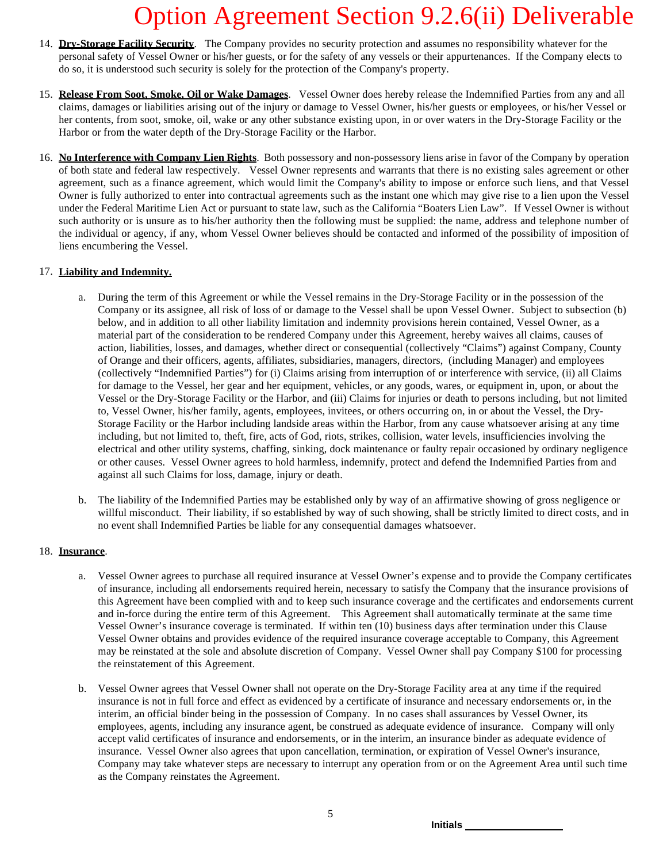- 14. **Dry-Storage Facility Security**. The Company provides no security protection and assumes no responsibility whatever for the personal safety of Vessel Owner or his/her guests, or for the safety of any vessels or their appurtenances. If the Company elects to do so, it is understood such security is solely for the protection of the Company's property.
- 15. **Release From Soot, Smoke, Oil or Wake Damages**. Vessel Owner does hereby release the Indemnified Parties from any and all claims, damages or liabilities arising out of the injury or damage to Vessel Owner, his/her guests or employees, or his/her Vessel or her contents, from soot, smoke, oil, wake or any other substance existing upon, in or over waters in the Dry-Storage Facility or the Harbor or from the water depth of the Dry-Storage Facility or the Harbor.
- 16. **No Interference with Company Lien Rights**. Both possessory and non-possessory liens arise in favor of the Company by operation of both state and federal law respectively. Vessel Owner represents and warrants that there is no existing sales agreement or other agreement, such as a finance agreement, which would limit the Company's ability to impose or enforce such liens, and that Vessel Owner is fully authorized to enter into contractual agreements such as the instant one which may give rise to a lien upon the Vessel under the Federal Maritime Lien Act or pursuant to state law, such as the California "Boaters Lien Law". If Vessel Owner is without such authority or is unsure as to his/her authority then the following must be supplied: the name, address and telephone number of the individual or agency, if any, whom Vessel Owner believes should be contacted and informed of the possibility of imposition of liens encumbering the Vessel.

### 17. **Liability and Indemnity.**

- a. During the term of this Agreement or while the Vessel remains in the Dry-Storage Facility or in the possession of the Company or its assignee, all risk of loss of or damage to the Vessel shall be upon Vessel Owner. Subject to subsection (b) below, and in addition to all other liability limitation and indemnity provisions herein contained, Vessel Owner, as a material part of the consideration to be rendered Company under this Agreement, hereby waives all claims, causes of action, liabilities, losses, and damages, whether direct or consequential (collectively "Claims") against Company, County of Orange and their officers, agents, affiliates, subsidiaries, managers, directors, (including Manager) and employees (collectively "Indemnified Parties") for (i) Claims arising from interruption of or interference with service, (ii) all Claims for damage to the Vessel, her gear and her equipment, vehicles, or any goods, wares, or equipment in, upon, or about the Vessel or the Dry-Storage Facility or the Harbor, and (iii) Claims for injuries or death to persons including, but not limited to, Vessel Owner, his/her family, agents, employees, invitees, or others occurring on, in or about the Vessel, the Dry-Storage Facility or the Harbor including landside areas within the Harbor, from any cause whatsoever arising at any time including, but not limited to, theft, fire, acts of God, riots, strikes, collision, water levels, insufficiencies involving the electrical and other utility systems, chaffing, sinking, dock maintenance or faulty repair occasioned by ordinary negligence or other causes. Vessel Owner agrees to hold harmless, indemnify, protect and defend the Indemnified Parties from and against all such Claims for loss, damage, injury or death.
- b. The liability of the Indemnified Parties may be established only by way of an affirmative showing of gross negligence or willful misconduct. Their liability, if so established by way of such showing, shall be strictly limited to direct costs, and in no event shall Indemnified Parties be liable for any consequential damages whatsoever.

### 18. **Insurance**.

- a. Vessel Owner agrees to purchase all required insurance at Vessel Owner's expense and to provide the Company certificates of insurance, including all endorsements required herein, necessary to satisfy the Company that the insurance provisions of this Agreement have been complied with and to keep such insurance coverage and the certificates and endorsements current and in-force during the entire term of this Agreement. This Agreement shall automatically terminate at the same time Vessel Owner's insurance coverage is terminated. If within ten (10) business days after termination under this Clause Vessel Owner obtains and provides evidence of the required insurance coverage acceptable to Company, this Agreement may be reinstated at the sole and absolute discretion of Company. Vessel Owner shall pay Company \$100 for processing the reinstatement of this Agreement.
- b. Vessel Owner agrees that Vessel Owner shall not operate on the Dry-Storage Facility area at any time if the required insurance is not in full force and effect as evidenced by a certificate of insurance and necessary endorsements or, in the interim, an official binder being in the possession of Company. In no cases shall assurances by Vessel Owner, its employees, agents, including any insurance agent, be construed as adequate evidence of insurance. Company will only accept valid certificates of insurance and endorsements, or in the interim, an insurance binder as adequate evidence of insurance. Vessel Owner also agrees that upon cancellation, termination, or expiration of Vessel Owner's insurance, Company may take whatever steps are necessary to interrupt any operation from or on the Agreement Area until such time as the Company reinstates the Agreement.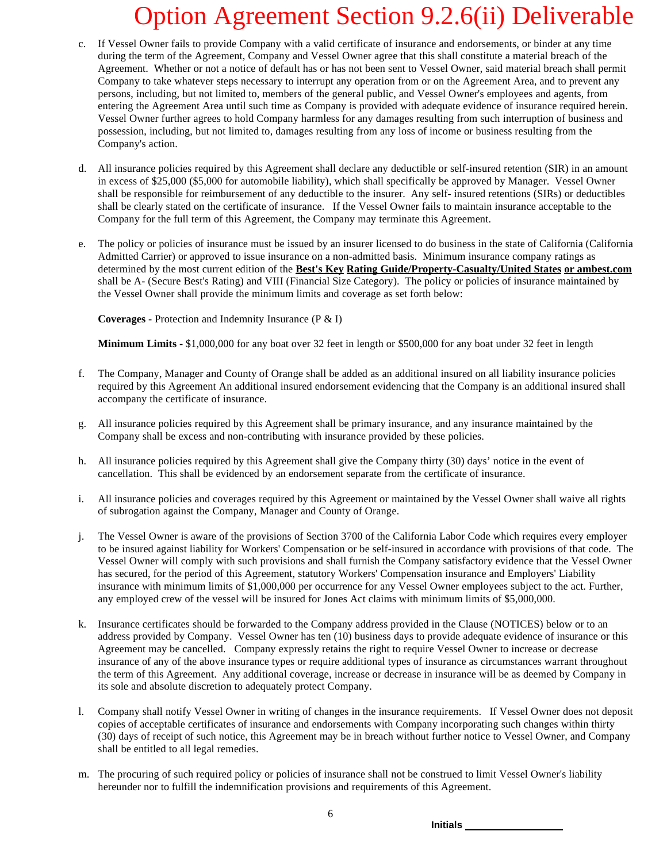- c. If Vessel Owner fails to provide Company with a valid certificate of insurance and endorsements, or binder at any time during the term of the Agreement, Company and Vessel Owner agree that this shall constitute a material breach of the Agreement. Whether or not a notice of default has or has not been sent to Vessel Owner, said material breach shall permit Company to take whatever steps necessary to interrupt any operation from or on the Agreement Area, and to prevent any persons, including, but not limited to, members of the general public, and Vessel Owner's employees and agents, from entering the Agreement Area until such time as Company is provided with adequate evidence of insurance required herein. Vessel Owner further agrees to hold Company harmless for any damages resulting from such interruption of business and possession, including, but not limited to, damages resulting from any loss of income or business resulting from the Company's action.
- d. All insurance policies required by this Agreement shall declare any deductible or self-insured retention (SIR) in an amount in excess of \$25,000 (\$5,000 for automobile liability), which shall specifically be approved by Manager. Vessel Owner shall be responsible for reimbursement of any deductible to the insurer. Any self- insured retentions (SIRs) or deductibles shall be clearly stated on the certificate of insurance. If the Vessel Owner fails to maintain insurance acceptable to the Company for the full term of this Agreement, the Company may terminate this Agreement.
- e. The policy or policies of insurance must be issued by an insurer licensed to do business in the state of California (California Admitted Carrier) or approved to issue insurance on a non-admitted basis. Minimum insurance company ratings as determined by the most current edition of the **Best's Key Rating Guide/Property-Casualty/United States or ambest.com** shall be A- (Secure Best's Rating) and VIII (Financial Size Category). The policy or policies of insurance maintained by the Vessel Owner shall provide the minimum limits and coverage as set forth below:

**Coverages -** Protection and Indemnity Insurance (P & I)

**Minimum Limits -** \$1,000,000 for any boat over 32 feet in length or \$500,000 for any boat under 32 feet in length

- f. The Company, Manager and County of Orange shall be added as an additional insured on all liability insurance policies required by this Agreement An additional insured endorsement evidencing that the Company is an additional insured shall accompany the certificate of insurance.
- g. All insurance policies required by this Agreement shall be primary insurance, and any insurance maintained by the Company shall be excess and non-contributing with insurance provided by these policies.
- h. All insurance policies required by this Agreement shall give the Company thirty (30) days' notice in the event of cancellation. This shall be evidenced by an endorsement separate from the certificate of insurance.
- i. All insurance policies and coverages required by this Agreement or maintained by the Vessel Owner shall waive all rights of subrogation against the Company, Manager and County of Orange.
- j. The Vessel Owner is aware of the provisions of Section 3700 of the California Labor Code which requires every employer to be insured against liability for Workers' Compensation or be self-insured in accordance with provisions of that code. The Vessel Owner will comply with such provisions and shall furnish the Company satisfactory evidence that the Vessel Owner has secured, for the period of this Agreement, statutory Workers' Compensation insurance and Employers' Liability insurance with minimum limits of \$1,000,000 per occurrence for any Vessel Owner employees subject to the act. Further, any employed crew of the vessel will be insured for Jones Act claims with minimum limits of \$5,000,000.
- k. Insurance certificates should be forwarded to the Company address provided in the Clause (NOTICES) below or to an address provided by Company. Vessel Owner has ten (10) business days to provide adequate evidence of insurance or this Agreement may be cancelled. Company expressly retains the right to require Vessel Owner to increase or decrease insurance of any of the above insurance types or require additional types of insurance as circumstances warrant throughout the term of this Agreement. Any additional coverage, increase or decrease in insurance will be as deemed by Company in its sole and absolute discretion to adequately protect Company.
- l. Company shall notify Vessel Owner in writing of changes in the insurance requirements. If Vessel Owner does not deposit copies of acceptable certificates of insurance and endorsements with Company incorporating such changes within thirty (30) days of receipt of such notice, this Agreement may be in breach without further notice to Vessel Owner, and Company shall be entitled to all legal remedies.
- m. The procuring of such required policy or policies of insurance shall not be construed to limit Vessel Owner's liability hereunder nor to fulfill the indemnification provisions and requirements of this Agreement.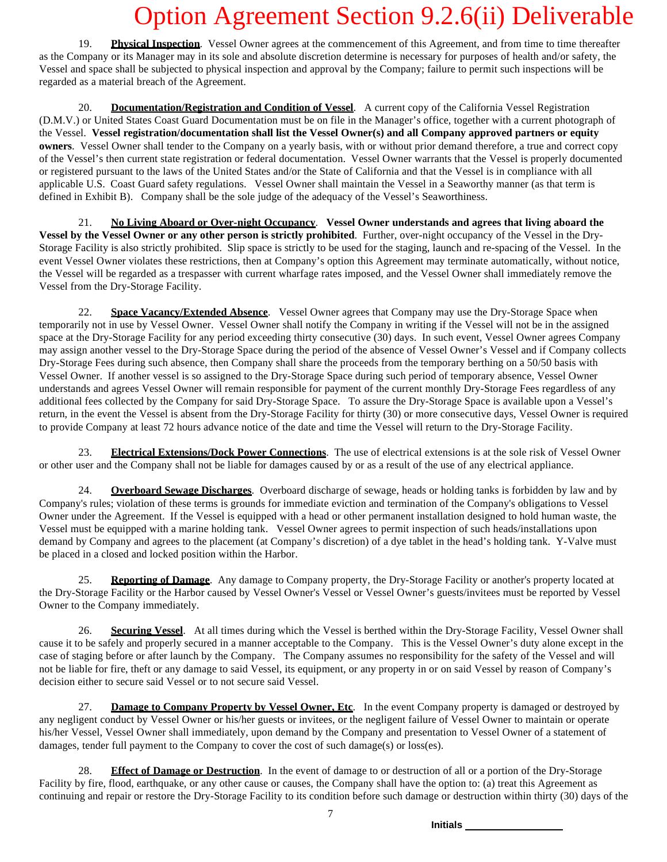19. **Physical Inspection**. Vessel Owner agrees at the commencement of this Agreement, and from time to time thereafter as the Company or its Manager may in its sole and absolute discretion determine is necessary for purposes of health and/or safety, the Vessel and space shall be subjected to physical inspection and approval by the Company; failure to permit such inspections will be regarded as a material breach of the Agreement.

20. **Documentation/Registration and Condition of Vessel**. A current copy of the California Vessel Registration (D.M.V.) or United States Coast Guard Documentation must be on file in the Manager's office, together with a current photograph of the Vessel. **Vessel registration/documentation shall list the Vessel Owner(s) and all Company approved partners or equity owners**. Vessel Owner shall tender to the Company on a yearly basis, with or without prior demand therefore, a true and correct copy of the Vessel's then current state registration or federal documentation. Vessel Owner warrants that the Vessel is properly documented or registered pursuant to the laws of the United States and/or the State of California and that the Vessel is in compliance with all applicable U.S. Coast Guard safety regulations. Vessel Owner shall maintain the Vessel in a Seaworthy manner (as that term is defined in Exhibit B). Company shall be the sole judge of the adequacy of the Vessel's Seaworthiness.

21. **No Living Aboard or Over-night Occupancy**. **Vessel Owner understands and agrees that living aboard the Vessel by the Vessel Owner or any other person is strictly prohibited**. Further, over-night occupancy of the Vessel in the Dry-Storage Facility is also strictly prohibited. Slip space is strictly to be used for the staging, launch and re-spacing of the Vessel. In the event Vessel Owner violates these restrictions, then at Company's option this Agreement may terminate automatically, without notice, the Vessel will be regarded as a trespasser with current wharfage rates imposed, and the Vessel Owner shall immediately remove the Vessel from the Dry-Storage Facility.

22. **Space Vacancy/Extended Absence**. Vessel Owner agrees that Company may use the Dry-Storage Space when temporarily not in use by Vessel Owner. Vessel Owner shall notify the Company in writing if the Vessel will not be in the assigned space at the Dry-Storage Facility for any period exceeding thirty consecutive (30) days. In such event, Vessel Owner agrees Company may assign another vessel to the Dry-Storage Space during the period of the absence of Vessel Owner's Vessel and if Company collects Dry-Storage Fees during such absence, then Company shall share the proceeds from the temporary berthing on a 50/50 basis with Vessel Owner. If another vessel is so assigned to the Dry-Storage Space during such period of temporary absence, Vessel Owner understands and agrees Vessel Owner will remain responsible for payment of the current monthly Dry-Storage Fees regardless of any additional fees collected by the Company for said Dry-Storage Space. To assure the Dry-Storage Space is available upon a Vessel's return, in the event the Vessel is absent from the Dry-Storage Facility for thirty (30) or more consecutive days, Vessel Owner is required to provide Company at least 72 hours advance notice of the date and time the Vessel will return to the Dry-Storage Facility.

23. **Electrical Extensions/Dock Power Connections**. The use of electrical extensions is at the sole risk of Vessel Owner or other user and the Company shall not be liable for damages caused by or as a result of the use of any electrical appliance.

24. **Overboard Sewage Discharges**. Overboard discharge of sewage, heads or holding tanks is forbidden by law and by Company's rules; violation of these terms is grounds for immediate eviction and termination of the Company's obligations to Vessel Owner under the Agreement. If the Vessel is equipped with a head or other permanent installation designed to hold human waste, the Vessel must be equipped with a marine holding tank. Vessel Owner agrees to permit inspection of such heads/installations upon demand by Company and agrees to the placement (at Company's discretion) of a dye tablet in the head's holding tank. Y-Valve must be placed in a closed and locked position within the Harbor.

25. **Reporting of Damage**. Any damage to Company property, the Dry-Storage Facility or another's property located at the Dry-Storage Facility or the Harbor caused by Vessel Owner's Vessel or Vessel Owner's guests/invitees must be reported by Vessel Owner to the Company immediately.

26. **Securing Vessel**. At all times during which the Vessel is berthed within the Dry-Storage Facility, Vessel Owner shall cause it to be safely and properly secured in a manner acceptable to the Company. This is the Vessel Owner's duty alone except in the case of staging before or after launch by the Company. The Company assumes no responsibility for the safety of the Vessel and will not be liable for fire, theft or any damage to said Vessel, its equipment, or any property in or on said Vessel by reason of Company's decision either to secure said Vessel or to not secure said Vessel.

27. **Damage to Company Property by Vessel Owner, Etc**. In the event Company property is damaged or destroyed by any negligent conduct by Vessel Owner or his/her guests or invitees, or the negligent failure of Vessel Owner to maintain or operate his/her Vessel, Vessel Owner shall immediately, upon demand by the Company and presentation to Vessel Owner of a statement of damages, tender full payment to the Company to cover the cost of such damage(s) or loss(es).

28. **Effect of Damage or Destruction**. In the event of damage to or destruction of all or a portion of the Dry-Storage Facility by fire, flood, earthquake, or any other cause or causes, the Company shall have the option to: (a) treat this Agreement as continuing and repair or restore the Dry-Storage Facility to its condition before such damage or destruction within thirty (30) days of the

7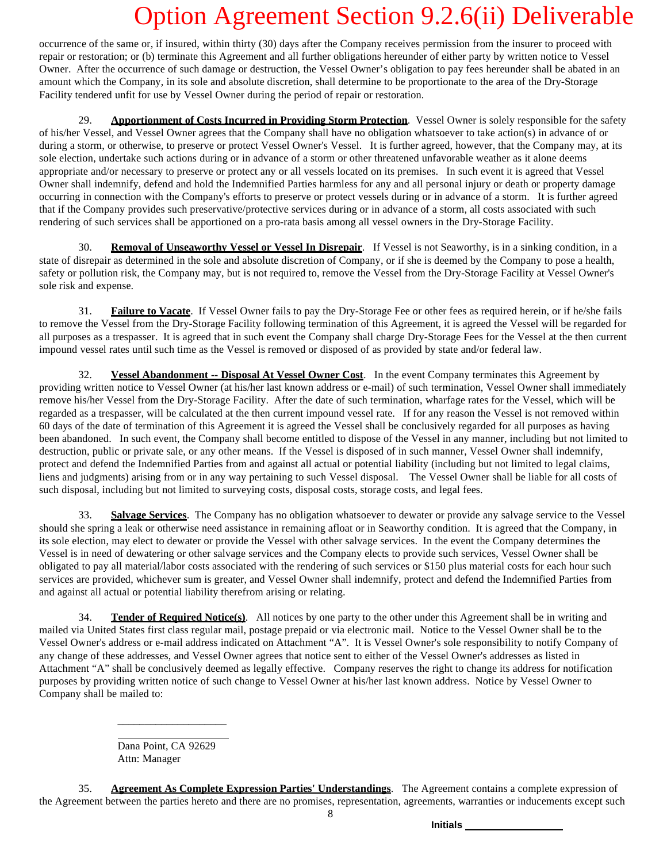occurrence of the same or, if insured, within thirty (30) days after the Company receives permission from the insurer to proceed with repair or restoration; or (b) terminate this Agreement and all further obligations hereunder of either party by written notice to Vessel Owner. After the occurrence of such damage or destruction, the Vessel Owner's obligation to pay fees hereunder shall be abated in an amount which the Company, in its sole and absolute discretion, shall determine to be proportionate to the area of the Dry-Storage Facility tendered unfit for use by Vessel Owner during the period of repair or restoration.

29. **Apportionment of Costs Incurred in Providing Storm Protection**. Vessel Owner is solely responsible for the safety of his/her Vessel, and Vessel Owner agrees that the Company shall have no obligation whatsoever to take action(s) in advance of or during a storm, or otherwise, to preserve or protect Vessel Owner's Vessel. It is further agreed, however, that the Company may, at its sole election, undertake such actions during or in advance of a storm or other threatened unfavorable weather as it alone deems appropriate and/or necessary to preserve or protect any or all vessels located on its premises. In such event it is agreed that Vessel Owner shall indemnify, defend and hold the Indemnified Parties harmless for any and all personal injury or death or property damage occurring in connection with the Company's efforts to preserve or protect vessels during or in advance of a storm. It is further agreed that if the Company provides such preservative/protective services during or in advance of a storm, all costs associated with such rendering of such services shall be apportioned on a pro-rata basis among all vessel owners in the Dry-Storage Facility.

30. **Removal of Unseaworthy Vessel or Vessel In Disrepair**. If Vessel is not Seaworthy, is in a sinking condition, in a state of disrepair as determined in the sole and absolute discretion of Company, or if she is deemed by the Company to pose a health, safety or pollution risk, the Company may, but is not required to, remove the Vessel from the Dry-Storage Facility at Vessel Owner's sole risk and expense.

31. **Failure to Vacate**. If Vessel Owner fails to pay the Dry-Storage Fee or other fees as required herein, or if he/she fails to remove the Vessel from the Dry-Storage Facility following termination of this Agreement, it is agreed the Vessel will be regarded for all purposes as a trespasser. It is agreed that in such event the Company shall charge Dry-Storage Fees for the Vessel at the then current impound vessel rates until such time as the Vessel is removed or disposed of as provided by state and/or federal law.

32. **Vessel Abandonment -- Disposal At Vessel Owner Cost**. In the event Company terminates this Agreement by providing written notice to Vessel Owner (at his/her last known address or e-mail) of such termination, Vessel Owner shall immediately remove his/her Vessel from the Dry-Storage Facility. After the date of such termination, wharfage rates for the Vessel, which will be regarded as a trespasser, will be calculated at the then current impound vessel rate. If for any reason the Vessel is not removed within 60 days of the date of termination of this Agreement it is agreed the Vessel shall be conclusively regarded for all purposes as having been abandoned. In such event, the Company shall become entitled to dispose of the Vessel in any manner, including but not limited to destruction, public or private sale, or any other means. If the Vessel is disposed of in such manner, Vessel Owner shall indemnify, protect and defend the Indemnified Parties from and against all actual or potential liability (including but not limited to legal claims, liens and judgments) arising from or in any way pertaining to such Vessel disposal. The Vessel Owner shall be liable for all costs of such disposal, including but not limited to surveying costs, disposal costs, storage costs, and legal fees.

33. **Salvage Services**. The Company has no obligation whatsoever to dewater or provide any salvage service to the Vessel should she spring a leak or otherwise need assistance in remaining afloat or in Seaworthy condition. It is agreed that the Company, in its sole election, may elect to dewater or provide the Vessel with other salvage services. In the event the Company determines the Vessel is in need of dewatering or other salvage services and the Company elects to provide such services, Vessel Owner shall be obligated to pay all material/labor costs associated with the rendering of such services or \$150 plus material costs for each hour such services are provided, whichever sum is greater, and Vessel Owner shall indemnify, protect and defend the Indemnified Parties from and against all actual or potential liability therefrom arising or relating.

34. **Tender of Required Notice(s)**. All notices by one party to the other under this Agreement shall be in writing and mailed via United States first class regular mail, postage prepaid or via electronic mail. Notice to the Vessel Owner shall be to the Vessel Owner's address or e-mail address indicated on Attachment "A". It is Vessel Owner's sole responsibility to notify Company of any change of these addresses, and Vessel Owner agrees that notice sent to either of the Vessel Owner's addresses as listed in Attachment "A" shall be conclusively deemed as legally effective. Company reserves the right to change its address for notification purposes by providing written notice of such change to Vessel Owner at his/her last known address. Notice by Vessel Owner to Company shall be mailed to:

> Dana Point, CA 92629 Attn: Manager

\_\_\_\_\_\_\_\_\_\_\_\_\_\_\_\_\_\_\_\_

35. **Agreement As Complete Expression Parties' Understandings**. The Agreement contains a complete expression of the Agreement between the parties hereto and there are no promises, representation, agreements, warranties or inducements except such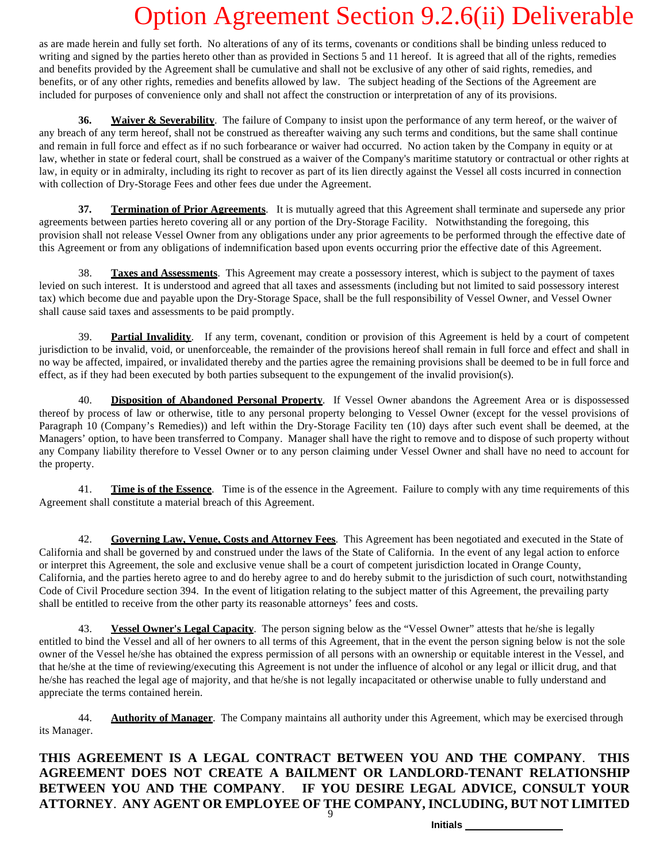as are made herein and fully set forth. No alterations of any of its terms, covenants or conditions shall be binding unless reduced to writing and signed by the parties hereto other than as provided in Sections 5 and 11 hereof. It is agreed that all of the rights, remedies and benefits provided by the Agreement shall be cumulative and shall not be exclusive of any other of said rights, remedies, and benefits, or of any other rights, remedies and benefits allowed by law. The subject heading of the Sections of the Agreement are included for purposes of convenience only and shall not affect the construction or interpretation of any of its provisions.

**36. Waiver & Severability**. The failure of Company to insist upon the performance of any term hereof, or the waiver of any breach of any term hereof, shall not be construed as thereafter waiving any such terms and conditions, but the same shall continue and remain in full force and effect as if no such forbearance or waiver had occurred. No action taken by the Company in equity or at law, whether in state or federal court, shall be construed as a waiver of the Company's maritime statutory or contractual or other rights at law, in equity or in admiralty, including its right to recover as part of its lien directly against the Vessel all costs incurred in connection with collection of Dry-Storage Fees and other fees due under the Agreement.

**37. Termination of Prior Agreements**. It is mutually agreed that this Agreement shall terminate and supersede any prior agreements between parties hereto covering all or any portion of the Dry-Storage Facility. Notwithstanding the foregoing, this provision shall not release Vessel Owner from any obligations under any prior agreements to be performed through the effective date of this Agreement or from any obligations of indemnification based upon events occurring prior the effective date of this Agreement.

**Taxes and Assessments**. This Agreement may create a possessory interest, which is subject to the payment of taxes levied on such interest. It is understood and agreed that all taxes and assessments (including but not limited to said possessory interest tax) which become due and payable upon the Dry-Storage Space, shall be the full responsibility of Vessel Owner, and Vessel Owner shall cause said taxes and assessments to be paid promptly.

39. **Partial Invalidity**. If any term, covenant, condition or provision of this Agreement is held by a court of competent jurisdiction to be invalid, void, or unenforceable, the remainder of the provisions hereof shall remain in full force and effect and shall in no way be affected, impaired, or invalidated thereby and the parties agree the remaining provisions shall be deemed to be in full force and effect, as if they had been executed by both parties subsequent to the expungement of the invalid provision(s).

40. **Disposition of Abandoned Personal Property**. If Vessel Owner abandons the Agreement Area or is dispossessed thereof by process of law or otherwise, title to any personal property belonging to Vessel Owner (except for the vessel provisions of Paragraph 10 (Company's Remedies)) and left within the Dry-Storage Facility ten (10) days after such event shall be deemed, at the Managers' option, to have been transferred to Company. Manager shall have the right to remove and to dispose of such property without any Company liability therefore to Vessel Owner or to any person claiming under Vessel Owner and shall have no need to account for the property.

41. **Time is of the Essence**. Time is of the essence in the Agreement. Failure to comply with any time requirements of this Agreement shall constitute a material breach of this Agreement.

42. **Governing Law, Venue, Costs and Attorney Fees**. This Agreement has been negotiated and executed in the State of California and shall be governed by and construed under the laws of the State of California. In the event of any legal action to enforce or interpret this Agreement, the sole and exclusive venue shall be a court of competent jurisdiction located in Orange County, California, and the parties hereto agree to and do hereby agree to and do hereby submit to the jurisdiction of such court, notwithstanding Code of Civil Procedure section 394. In the event of litigation relating to the subject matter of this Agreement, the prevailing party shall be entitled to receive from the other party its reasonable attorneys' fees and costs.

43. **Vessel Owner's Legal Capacity**. The person signing below as the "Vessel Owner" attests that he/she is legally entitled to bind the Vessel and all of her owners to all terms of this Agreement, that in the event the person signing below is not the sole owner of the Vessel he/she has obtained the express permission of all persons with an ownership or equitable interest in the Vessel, and that he/she at the time of reviewing/executing this Agreement is not under the influence of alcohol or any legal or illicit drug, and that he/she has reached the legal age of majority, and that he/she is not legally incapacitated or otherwise unable to fully understand and appreciate the terms contained herein.

44. **Authority of Manager**. The Company maintains all authority under this Agreement, which may be exercised through its Manager.

9 **THIS AGREEMENT IS A LEGAL CONTRACT BETWEEN YOU AND THE COMPANY**. **THIS AGREEMENT DOES NOT CREATE A BAILMENT OR LANDLORD-TENANT RELATIONSHIP BETWEEN YOU AND THE COMPANY**. **IF YOU DESIRE LEGAL ADVICE, CONSULT YOUR ATTORNEY**. **ANY AGENT OR EMPLOYEE OF THE COMPANY, INCLUDING, BUT NOT LIMITED**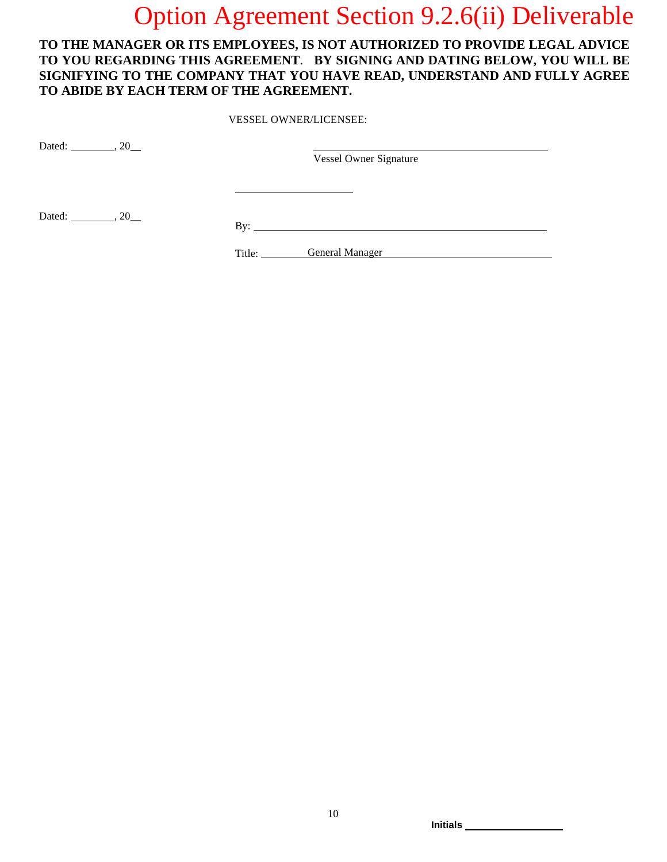### **TO THE MANAGER OR ITS EMPLOYEES, IS NOT AUTHORIZED TO PROVIDE LEGAL ADVICE TO YOU REGARDING THIS AGREEMENT**. **BY SIGNING AND DATING BELOW, YOU WILL BE SIGNIFYING TO THE COMPANY THAT YOU HAVE READ, UNDERSTAND AND FULLY AGREE TO ABIDE BY EACH TERM OF THE AGREEMENT.**

VESSEL OWNER/LICENSEE:

Dated:  $, 20$ 

Vessel Owner Signature

Dated:  $\frac{1}{20}$ , 20\_

Title: General Manager Contract Contract Contract Contract Contract Contract Contract Contract Contract Contract Contract Contract Contract Contract Contract Contract Contract Contract Contract Contract Contract Contract C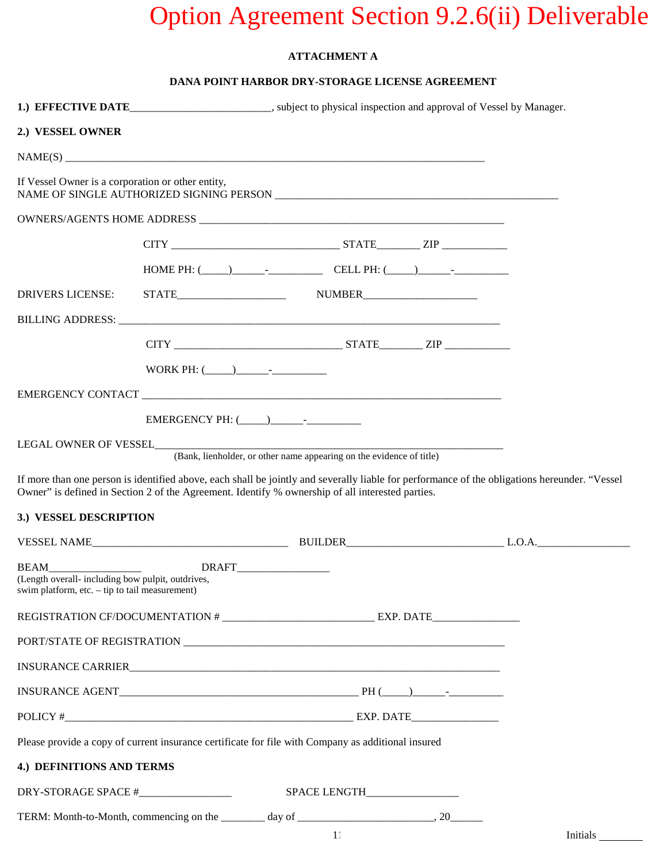### **ATTACHMENT A**

### **DANA POINT HARBOR DRY-STORAGE LICENSE AGREEMENT**

|                                                   |  | 1.) EFFECTIVE DATE________________________, subject to physical inspection and approval of Vessel by Manager. |                                |          |
|---------------------------------------------------|--|---------------------------------------------------------------------------------------------------------------|--------------------------------|----------|
| 2.) VESSEL OWNER                                  |  |                                                                                                               |                                |          |
|                                                   |  |                                                                                                               |                                |          |
| If Vessel Owner is a corporation or other entity, |  |                                                                                                               |                                |          |
|                                                   |  |                                                                                                               |                                |          |
|                                                   |  |                                                                                                               |                                |          |
|                                                   |  | HOME PH: $(\_\_)$ CELL PH: $(\_\_)$                                                                           |                                |          |
| DRIVERS LICENSE:                                  |  |                                                                                                               |                                |          |
|                                                   |  |                                                                                                               |                                |          |
|                                                   |  |                                                                                                               |                                |          |
|                                                   |  |                                                                                                               |                                |          |
|                                                   |  |                                                                                                               |                                |          |
|                                                   |  |                                                                                                               |                                |          |
|                                                   |  |                                                                                                               |                                |          |
| 3.) VESSEL DESCRIPTION                            |  | Owner" is defined in Section 2 of the Agreement. Identify % ownership of all interested parties.              |                                |          |
|                                                   |  | VESSEL NAME BUILDER L.O.A.                                                                                    |                                |          |
| swim platform, etc. $-$ tip to tail measurement)  |  |                                                                                                               |                                |          |
| REGISTRATION CF/DOCUMENTATION # EXP. DATE         |  |                                                                                                               |                                |          |
|                                                   |  |                                                                                                               |                                |          |
|                                                   |  |                                                                                                               |                                |          |
|                                                   |  |                                                                                                               |                                |          |
|                                                   |  |                                                                                                               |                                |          |
|                                                   |  | Please provide a copy of current insurance certificate for file with Company as additional insured            |                                |          |
| 4.) DEFINITIONS AND TERMS                         |  |                                                                                                               |                                |          |
| DRY-STORAGE SPACE #_________________              |  |                                                                                                               | SPACE LENGTH__________________ |          |
|                                                   |  |                                                                                                               |                                |          |
|                                                   |  |                                                                                                               | 11                             | Initials |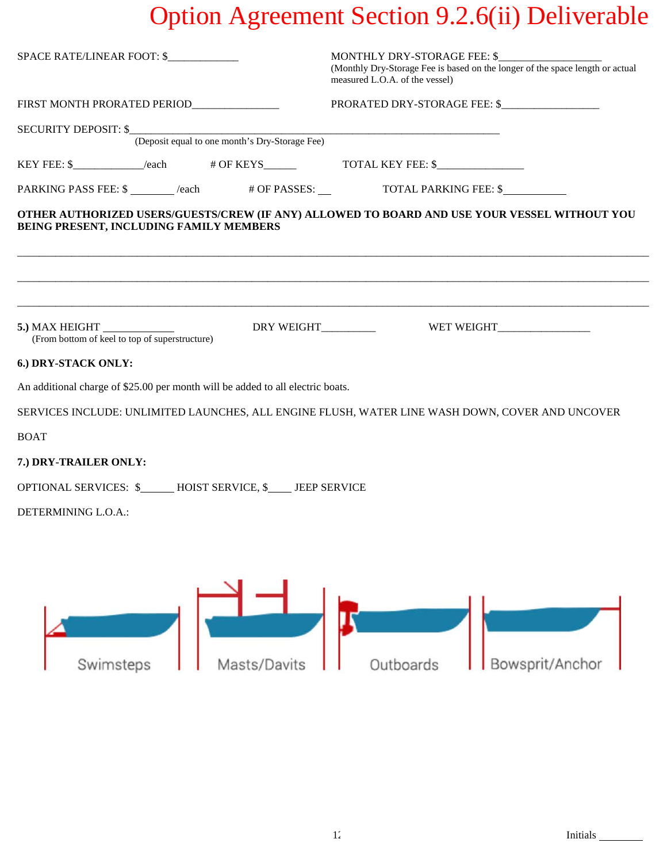| SPACE RATE/LINEAR FOOT: \$                                                       | MONTHLY DRY-STORAGE FEE: \$<br>(Monthly Dry-Storage Fee is based on the longer of the space length or actual<br>measured L.O.A. of the vessel) |  |  |
|----------------------------------------------------------------------------------|------------------------------------------------------------------------------------------------------------------------------------------------|--|--|
| FIRST MONTH PRORATED PERIOD_____________                                         |                                                                                                                                                |  |  |
| SECURITY DEPOSIT: \$<br>(Deposit equal to one month's Dry-Storage Fee)           |                                                                                                                                                |  |  |
|                                                                                  |                                                                                                                                                |  |  |
| PARKING PASS FEE: \$ _______ /each # OF PASSES: ___ TOTAL PARKING FEE: \$        |                                                                                                                                                |  |  |
| BEING PRESENT, INCLUDING FAMILY MEMBERS                                          | OTHER AUTHORIZED USERS/GUESTS/CREW (IF ANY) ALLOWED TO BOARD AND USE YOUR VESSEL WITHOUT YOU                                                   |  |  |
| 5.) MAX HEIGHT _______________<br>(From bottom of keel to top of superstructure) |                                                                                                                                                |  |  |
| 6.) DRY-STACK ONLY:                                                              |                                                                                                                                                |  |  |
| An additional charge of \$25.00 per month will be added to all electric boats.   | SERVICES INCLUDE: UNLIMITED LAUNCHES, ALL ENGINE FLUSH, WATER LINE WASH DOWN, COVER AND UNCOVER                                                |  |  |
| <b>BOAT</b>                                                                      |                                                                                                                                                |  |  |
| 7.) DRY-TRAILER ONLY:                                                            |                                                                                                                                                |  |  |
| OPTIONAL SERVICES: \$______ HOIST SERVICE, \$____ JEEP SERVICE                   |                                                                                                                                                |  |  |
| DETERMINING L.O.A.:                                                              |                                                                                                                                                |  |  |
|                                                                                  |                                                                                                                                                |  |  |
|                                                                                  |                                                                                                                                                |  |  |
| $\sim$ $\sim$ $\sim$ $\sim$ $\sim$                                               |                                                                                                                                                |  |  |

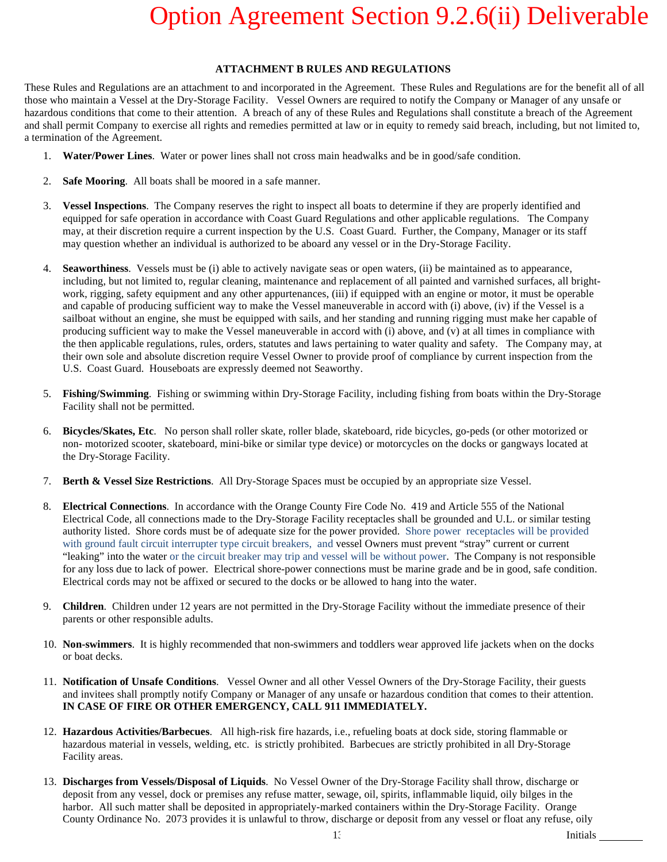### **ATTACHMENT B RULES AND REGULATIONS**

These Rules and Regulations are an attachment to and incorporated in the Agreement. These Rules and Regulations are for the benefit all of all those who maintain a Vessel at the Dry-Storage Facility. Vessel Owners are required to notify the Company or Manager of any unsafe or hazardous conditions that come to their attention. A breach of any of these Rules and Regulations shall constitute a breach of the Agreement and shall permit Company to exercise all rights and remedies permitted at law or in equity to remedy said breach, including, but not limited to, a termination of the Agreement.

- 1. **Water/Power Lines**. Water or power lines shall not cross main headwalks and be in good/safe condition.
- 2. **Safe Mooring**. All boats shall be moored in a safe manner.
- 3. **Vessel Inspections**. The Company reserves the right to inspect all boats to determine if they are properly identified and equipped for safe operation in accordance with Coast Guard Regulations and other applicable regulations. The Company may, at their discretion require a current inspection by the U.S. Coast Guard. Further, the Company, Manager or its staff may question whether an individual is authorized to be aboard any vessel or in the Dry-Storage Facility.
- 4. **Seaworthiness**. Vessels must be (i) able to actively navigate seas or open waters, (ii) be maintained as to appearance, including, but not limited to, regular cleaning, maintenance and replacement of all painted and varnished surfaces, all brightwork, rigging, safety equipment and any other appurtenances, (iii) if equipped with an engine or motor, it must be operable and capable of producing sufficient way to make the Vessel maneuverable in accord with (i) above, (iv) if the Vessel is a sailboat without an engine, she must be equipped with sails, and her standing and running rigging must make her capable of producing sufficient way to make the Vessel maneuverable in accord with (i) above, and (v) at all times in compliance with the then applicable regulations, rules, orders, statutes and laws pertaining to water quality and safety. The Company may, at their own sole and absolute discretion require Vessel Owner to provide proof of compliance by current inspection from the U.S. Coast Guard. Houseboats are expressly deemed not Seaworthy.
- 5. **Fishing/Swimming**. Fishing or swimming within Dry-Storage Facility, including fishing from boats within the Dry-Storage Facility shall not be permitted.
- 6. **Bicycles/Skates, Etc**. No person shall roller skate, roller blade, skateboard, ride bicycles, go-peds (or other motorized or non- motorized scooter, skateboard, mini-bike or similar type device) or motorcycles on the docks or gangways located at the Dry-Storage Facility.
- 7. **Berth & Vessel Size Restrictions**. All Dry-Storage Spaces must be occupied by an appropriate size Vessel.
- 8. **Electrical Connections**. In accordance with the Orange County Fire Code No. 419 and Article 555 of the National Electrical Code, all connections made to the Dry-Storage Facility receptacles shall be grounded and U.L. or similar testing authority listed. Shore cords must be of adequate size for the power provided. Shore power receptacles will be provided with ground fault circuit interrupter type circuit breakers, and vessel Owners must prevent "stray" current or current "leaking" into the water or the circuit breaker may trip and vessel will be without power. The Company is not responsible for any loss due to lack of power. Electrical shore-power connections must be marine grade and be in good, safe condition. Electrical cords may not be affixed or secured to the docks or be allowed to hang into the water.
- 9. **Children**. Children under 12 years are not permitted in the Dry-Storage Facility without the immediate presence of their parents or other responsible adults.
- 10. **Non-swimmers**. It is highly recommended that non-swimmers and toddlers wear approved life jackets when on the docks or boat decks.
- 11. **Notification of Unsafe Conditions**. Vessel Owner and all other Vessel Owners of the Dry-Storage Facility, their guests and invitees shall promptly notify Company or Manager of any unsafe or hazardous condition that comes to their attention. **IN CASE OF FIRE OR OTHER EMERGENCY, CALL 911 IMMEDIATELY.**
- 12. **Hazardous Activities/Barbecues**. All high-risk fire hazards, i.e., refueling boats at dock side, storing flammable or hazardous material in vessels, welding, etc. is strictly prohibited. Barbecues are strictly prohibited in all Dry-Storage Facility areas.
- 13. **Discharges from Vessels/Disposal of Liquids**. No Vessel Owner of the Dry-Storage Facility shall throw, discharge or deposit from any vessel, dock or premises any refuse matter, sewage, oil, spirits, inflammable liquid, oily bilges in the harbor. All such matter shall be deposited in appropriately-marked containers within the Dry-Storage Facility. Orange County Ordinance No. 2073 provides it is unlawful to throw, discharge or deposit from any vessel or float any refuse, oily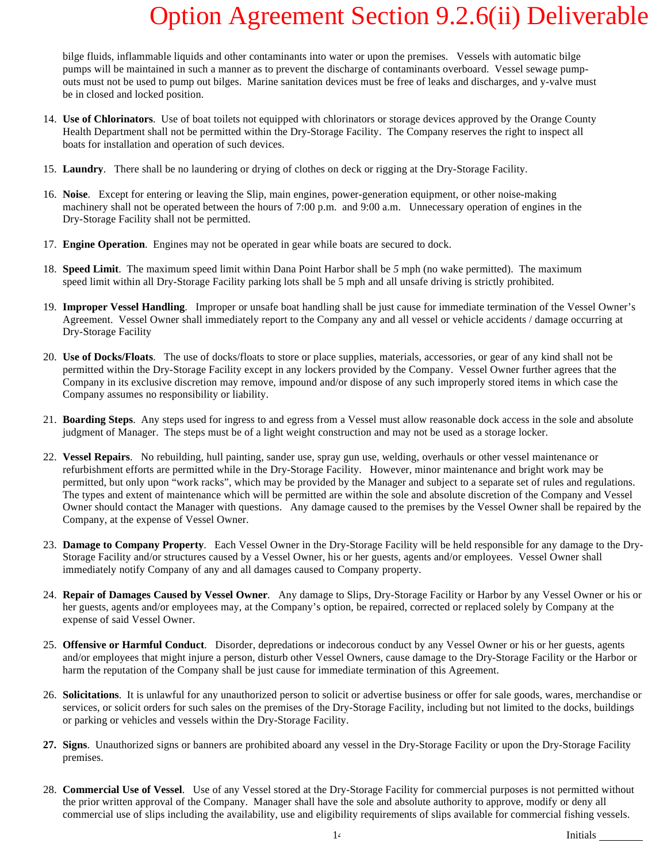bilge fluids, inflammable liquids and other contaminants into water or upon the premises. Vessels with automatic bilge pumps will be maintained in such a manner as to prevent the discharge of contaminants overboard. Vessel sewage pumpouts must not be used to pump out bilges. Marine sanitation devices must be free of leaks and discharges, and y-valve must be in closed and locked position.

- 14. **Use of Chlorinators**. Use of boat toilets not equipped with chlorinators or storage devices approved by the Orange County Health Department shall not be permitted within the Dry-Storage Facility. The Company reserves the right to inspect all boats for installation and operation of such devices.
- 15. **Laundry**. There shall be no laundering or drying of clothes on deck or rigging at the Dry-Storage Facility.
- 16. **Noise**. Except for entering or leaving the Slip, main engines, power-generation equipment, or other noise-making machinery shall not be operated between the hours of 7:00 p.m. and 9:00 a.m. Unnecessary operation of engines in the Dry-Storage Facility shall not be permitted.
- 17. **Engine Operation**. Engines may not be operated in gear while boats are secured to dock.
- 18. **Speed Limit**. The maximum speed limit within Dana Point Harbor shall be *5* mph (no wake permitted). The maximum speed limit within all Dry-Storage Facility parking lots shall be 5 mph and all unsafe driving is strictly prohibited.
- 19. **Improper Vessel Handling**. Improper or unsafe boat handling shall be just cause for immediate termination of the Vessel Owner's Agreement. Vessel Owner shall immediately report to the Company any and all vessel or vehicle accidents / damage occurring at Dry-Storage Facility
- 20. **Use of Docks/Floats**. The use of docks/floats to store or place supplies, materials, accessories, or gear of any kind shall not be permitted within the Dry-Storage Facility except in any lockers provided by the Company. Vessel Owner further agrees that the Company in its exclusive discretion may remove, impound and/or dispose of any such improperly stored items in which case the Company assumes no responsibility or liability.
- 21. **Boarding Steps**. Any steps used for ingress to and egress from a Vessel must allow reasonable dock access in the sole and absolute judgment of Manager. The steps must be of a light weight construction and may not be used as a storage locker.
- 22. **Vessel Repairs**. No rebuilding, hull painting, sander use, spray gun use, welding, overhauls or other vessel maintenance or refurbishment efforts are permitted while in the Dry-Storage Facility. However, minor maintenance and bright work may be permitted, but only upon "work racks", which may be provided by the Manager and subject to a separate set of rules and regulations. The types and extent of maintenance which will be permitted are within the sole and absolute discretion of the Company and Vessel Owner should contact the Manager with questions. Any damage caused to the premises by the Vessel Owner shall be repaired by the Company, at the expense of Vessel Owner.
- 23. **Damage to Company Property**. Each Vessel Owner in the Dry-Storage Facility will be held responsible for any damage to the Dry-Storage Facility and/or structures caused by a Vessel Owner, his or her guests, agents and/or employees. Vessel Owner shall immediately notify Company of any and all damages caused to Company property.
- 24. **Repair of Damages Caused by Vessel Owner**. Any damage to Slips, Dry-Storage Facility or Harbor by any Vessel Owner or his or her guests, agents and/or employees may, at the Company's option, be repaired, corrected or replaced solely by Company at the expense of said Vessel Owner.
- 25. **Offensive or Harmful Conduct**. Disorder, depredations or indecorous conduct by any Vessel Owner or his or her guests, agents and/or employees that might injure a person, disturb other Vessel Owners, cause damage to the Dry-Storage Facility or the Harbor or harm the reputation of the Company shall be just cause for immediate termination of this Agreement.
- 26. **Solicitations**. It is unlawful for any unauthorized person to solicit or advertise business or offer for sale goods, wares, merchandise or services, or solicit orders for such sales on the premises of the Dry-Storage Facility, including but not limited to the docks, buildings or parking or vehicles and vessels within the Dry-Storage Facility.
- **27. Signs**. Unauthorized signs or banners are prohibited aboard any vessel in the Dry-Storage Facility or upon the Dry-Storage Facility premises.
- 28. **Commercial Use of Vessel**. Use of any Vessel stored at the Dry-Storage Facility for commercial purposes is not permitted without the prior written approval of the Company. Manager shall have the sole and absolute authority to approve, modify or deny all commercial use of slips including the availability, use and eligibility requirements of slips available for commercial fishing vessels.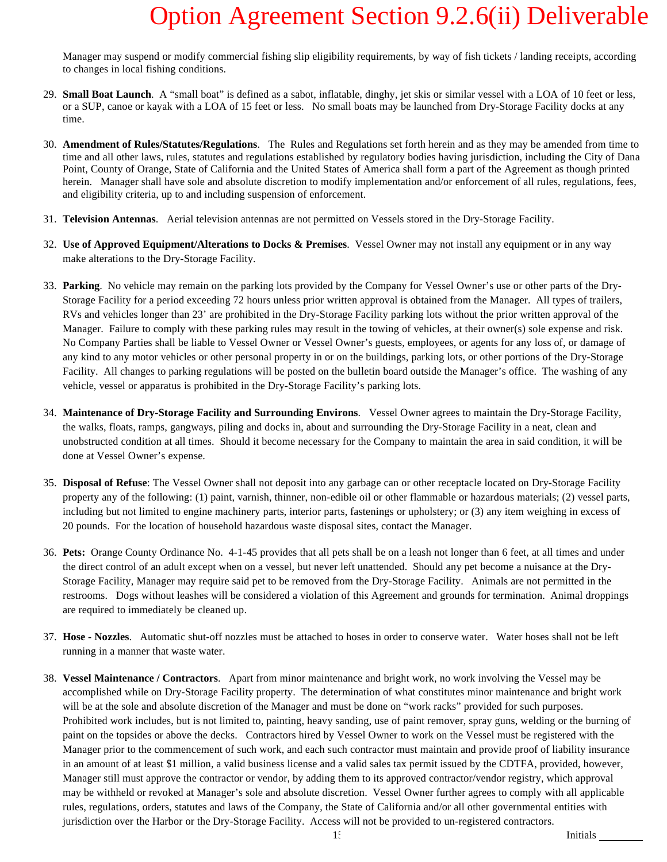Manager may suspend or modify commercial fishing slip eligibility requirements, by way of fish tickets / landing receipts, according to changes in local fishing conditions.

- 29. **Small Boat Launch**. A "small boat" is defined as a sabot, inflatable, dinghy, jet skis or similar vessel with a LOA of 10 feet or less, or a SUP, canoe or kayak with a LOA of 15 feet or less. No small boats may be launched from Dry-Storage Facility docks at any time.
- 30. **Amendment of Rules/Statutes/Regulations**. The Rules and Regulations set forth herein and as they may be amended from time to time and all other laws, rules, statutes and regulations established by regulatory bodies having jurisdiction, including the City of Dana Point, County of Orange, State of California and the United States of America shall form a part of the Agreement as though printed herein. Manager shall have sole and absolute discretion to modify implementation and/or enforcement of all rules, regulations, fees, and eligibility criteria, up to and including suspension of enforcement.
- 31. **Television Antennas**. Aerial television antennas are not permitted on Vessels stored in the Dry-Storage Facility.
- 32. **Use of Approved Equipment/Alterations to Docks & Premises**. Vessel Owner may not install any equipment or in any way make alterations to the Dry-Storage Facility.
- 33. **Parking**. No vehicle may remain on the parking lots provided by the Company for Vessel Owner's use or other parts of the Dry-Storage Facility for a period exceeding 72 hours unless prior written approval is obtained from the Manager. All types of trailers, RVs and vehicles longer than 23' are prohibited in the Dry-Storage Facility parking lots without the prior written approval of the Manager. Failure to comply with these parking rules may result in the towing of vehicles, at their owner(s) sole expense and risk. No Company Parties shall be liable to Vessel Owner or Vessel Owner's guests, employees, or agents for any loss of, or damage of any kind to any motor vehicles or other personal property in or on the buildings, parking lots, or other portions of the Dry-Storage Facility. All changes to parking regulations will be posted on the bulletin board outside the Manager's office. The washing of any vehicle, vessel or apparatus is prohibited in the Dry-Storage Facility's parking lots.
- 34. **Maintenance of Dry-Storage Facility and Surrounding Environs**. Vessel Owner agrees to maintain the Dry-Storage Facility, the walks, floats, ramps, gangways, piling and docks in, about and surrounding the Dry-Storage Facility in a neat, clean and unobstructed condition at all times. Should it become necessary for the Company to maintain the area in said condition, it will be done at Vessel Owner's expense.
- 35. **Disposal of Refuse**: The Vessel Owner shall not deposit into any garbage can or other receptacle located on Dry-Storage Facility property any of the following: (1) paint, varnish, thinner, non-edible oil or other flammable or hazardous materials; (2) vessel parts, including but not limited to engine machinery parts, interior parts, fastenings or upholstery; or (3) any item weighing in excess of 20 pounds. For the location of household hazardous waste disposal sites, contact the Manager.
- 36. **Pets:** Orange County Ordinance No. 4-1-45 provides that all pets shall be on a leash not longer than 6 feet, at all times and under the direct control of an adult except when on a vessel, but never left unattended. Should any pet become a nuisance at the Dry-Storage Facility, Manager may require said pet to be removed from the Dry-Storage Facility. Animals are not permitted in the restrooms. Dogs without leashes will be considered a violation of this Agreement and grounds for termination. Animal droppings are required to immediately be cleaned up.
- 37. **Hose - Nozzles**. Automatic shut-off nozzles must be attached to hoses in order to conserve water. Water hoses shall not be left running in a manner that waste water.
- 38. **Vessel Maintenance / Contractors**. Apart from minor maintenance and bright work, no work involving the Vessel may be accomplished while on Dry-Storage Facility property. The determination of what constitutes minor maintenance and bright work will be at the sole and absolute discretion of the Manager and must be done on "work racks" provided for such purposes. Prohibited work includes, but is not limited to, painting, heavy sanding, use of paint remover, spray guns, welding or the burning of paint on the topsides or above the decks. Contractors hired by Vessel Owner to work on the Vessel must be registered with the Manager prior to the commencement of such work, and each such contractor must maintain and provide proof of liability insurance in an amount of at least \$1 million, a valid business license and a valid sales tax permit issued by the CDTFA, provided, however, Manager still must approve the contractor or vendor, by adding them to its approved contractor/vendor registry, which approval may be withheld or revoked at Manager's sole and absolute discretion. Vessel Owner further agrees to comply with all applicable rules, regulations, orders, statutes and laws of the Company, the State of California and/or all other governmental entities with jurisdiction over the Harbor or the Dry-Storage Facility. Access will not be provided to un-registered contractors.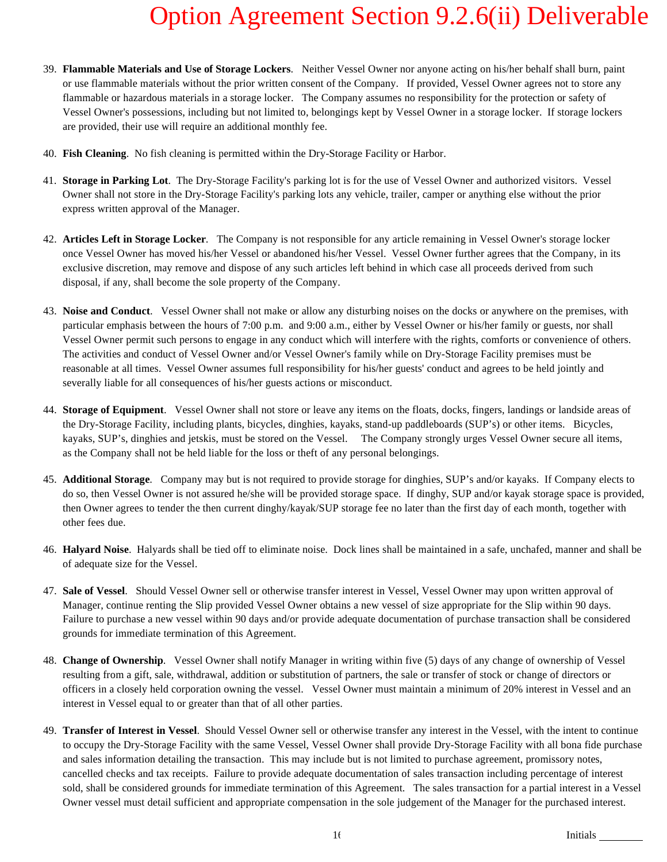- 39. **Flammable Materials and Use of Storage Lockers**. Neither Vessel Owner nor anyone acting on his/her behalf shall burn, paint or use flammable materials without the prior written consent of the Company. If provided, Vessel Owner agrees not to store any flammable or hazardous materials in a storage locker. The Company assumes no responsibility for the protection or safety of Vessel Owner's possessions, including but not limited to, belongings kept by Vessel Owner in a storage locker. If storage lockers are provided, their use will require an additional monthly fee.
- 40. **Fish Cleaning**. No fish cleaning is permitted within the Dry-Storage Facility or Harbor.
- 41. **Storage in Parking Lot**. The Dry-Storage Facility's parking lot is for the use of Vessel Owner and authorized visitors. Vessel Owner shall not store in the Dry-Storage Facility's parking lots any vehicle, trailer, camper or anything else without the prior express written approval of the Manager.
- 42. **Articles Left in Storage Locker**. The Company is not responsible for any article remaining in Vessel Owner's storage locker once Vessel Owner has moved his/her Vessel or abandoned his/her Vessel. Vessel Owner further agrees that the Company, in its exclusive discretion, may remove and dispose of any such articles left behind in which case all proceeds derived from such disposal, if any, shall become the sole property of the Company.
- 43. **Noise and Conduct**. Vessel Owner shall not make or allow any disturbing noises on the docks or anywhere on the premises, with particular emphasis between the hours of 7:00 p.m. and 9:00 a.m., either by Vessel Owner or his/her family or guests, nor shall Vessel Owner permit such persons to engage in any conduct which will interfere with the rights, comforts or convenience of others. The activities and conduct of Vessel Owner and/or Vessel Owner's family while on Dry-Storage Facility premises must be reasonable at all times. Vessel Owner assumes full responsibility for his/her guests' conduct and agrees to be held jointly and severally liable for all consequences of his/her guests actions or misconduct.
- 44. **Storage of Equipment**. Vessel Owner shall not store or leave any items on the floats, docks, fingers, landings or landside areas of the Dry-Storage Facility, including plants, bicycles, dinghies, kayaks, stand-up paddleboards (SUP's) or other items. Bicycles, kayaks, SUP's, dinghies and jetskis, must be stored on the Vessel. The Company strongly urges Vessel Owner secure all items, as the Company shall not be held liable for the loss or theft of any personal belongings.
- 45. **Additional Storage**. Company may but is not required to provide storage for dinghies, SUP's and/or kayaks. If Company elects to do so, then Vessel Owner is not assured he/she will be provided storage space. If dinghy, SUP and/or kayak storage space is provided, then Owner agrees to tender the then current dinghy/kayak/SUP storage fee no later than the first day of each month, together with other fees due.
- 46. **Halyard Noise**. Halyards shall be tied off to eliminate noise. Dock lines shall be maintained in a safe, unchafed, manner and shall be of adequate size for the Vessel.
- 47. **Sale of Vessel**. Should Vessel Owner sell or otherwise transfer interest in Vessel, Vessel Owner may upon written approval of Manager, continue renting the Slip provided Vessel Owner obtains a new vessel of size appropriate for the Slip within 90 days. Failure to purchase a new vessel within 90 days and/or provide adequate documentation of purchase transaction shall be considered grounds for immediate termination of this Agreement.
- 48. **Change of Ownership**. Vessel Owner shall notify Manager in writing within five (5) days of any change of ownership of Vessel resulting from a gift, sale, withdrawal, addition or substitution of partners, the sale or transfer of stock or change of directors or officers in a closely held corporation owning the vessel. Vessel Owner must maintain a minimum of 20% interest in Vessel and an interest in Vessel equal to or greater than that of all other parties.
- 49. **Transfer of Interest in Vessel**. Should Vessel Owner sell or otherwise transfer any interest in the Vessel, with the intent to continue to occupy the Dry-Storage Facility with the same Vessel, Vessel Owner shall provide Dry-Storage Facility with all bona fide purchase and sales information detailing the transaction. This may include but is not limited to purchase agreement, promissory notes, cancelled checks and tax receipts. Failure to provide adequate documentation of sales transaction including percentage of interest sold, shall be considered grounds for immediate termination of this Agreement. The sales transaction for a partial interest in a Vessel Owner vessel must detail sufficient and appropriate compensation in the sole judgement of the Manager for the purchased interest.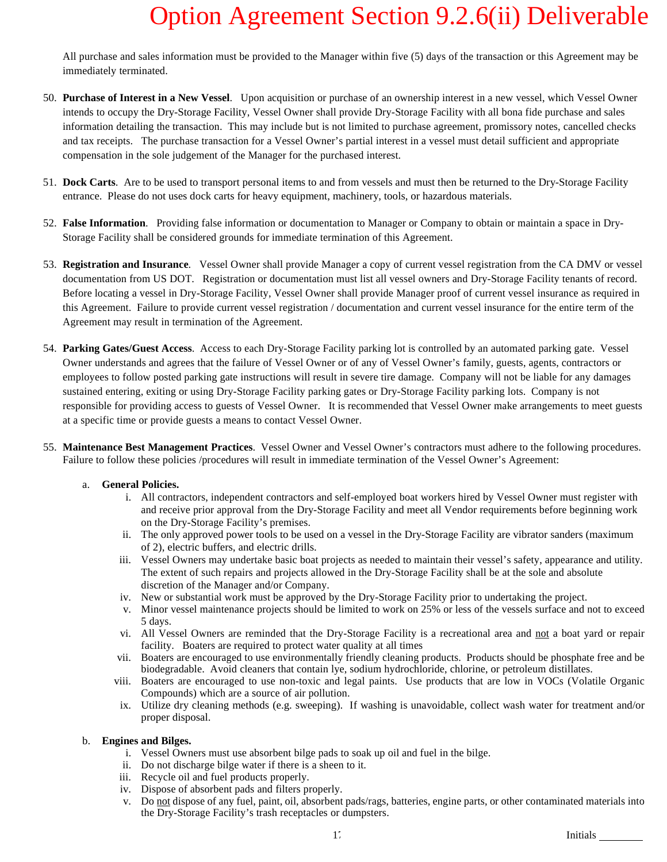All purchase and sales information must be provided to the Manager within five (5) days of the transaction or this Agreement may be immediately terminated.

- 50. **Purchase of Interest in a New Vessel**. Upon acquisition or purchase of an ownership interest in a new vessel, which Vessel Owner intends to occupy the Dry-Storage Facility, Vessel Owner shall provide Dry-Storage Facility with all bona fide purchase and sales information detailing the transaction. This may include but is not limited to purchase agreement, promissory notes, cancelled checks and tax receipts. The purchase transaction for a Vessel Owner's partial interest in a vessel must detail sufficient and appropriate compensation in the sole judgement of the Manager for the purchased interest.
- 51. **Dock Carts**. Are to be used to transport personal items to and from vessels and must then be returned to the Dry-Storage Facility entrance. Please do not uses dock carts for heavy equipment, machinery, tools, or hazardous materials.
- 52. **False Information**. Providing false information or documentation to Manager or Company to obtain or maintain a space in Dry-Storage Facility shall be considered grounds for immediate termination of this Agreement.
- 53. **Registration and Insurance**. Vessel Owner shall provide Manager a copy of current vessel registration from the CA DMV or vessel documentation from US DOT. Registration or documentation must list all vessel owners and Dry-Storage Facility tenants of record. Before locating a vessel in Dry-Storage Facility, Vessel Owner shall provide Manager proof of current vessel insurance as required in this Agreement. Failure to provide current vessel registration / documentation and current vessel insurance for the entire term of the Agreement may result in termination of the Agreement.
- 54. **Parking Gates/Guest Access**. Access to each Dry-Storage Facility parking lot is controlled by an automated parking gate. Vessel Owner understands and agrees that the failure of Vessel Owner or of any of Vessel Owner's family, guests, agents, contractors or employees to follow posted parking gate instructions will result in severe tire damage. Company will not be liable for any damages sustained entering, exiting or using Dry-Storage Facility parking gates or Dry-Storage Facility parking lots. Company is not responsible for providing access to guests of Vessel Owner. It is recommended that Vessel Owner make arrangements to meet guests at a specific time or provide guests a means to contact Vessel Owner.
- 55. **Maintenance Best Management Practices**. Vessel Owner and Vessel Owner's contractors must adhere to the following procedures. Failure to follow these policies /procedures will result in immediate termination of the Vessel Owner's Agreement:

### a. **General Policies.**

- i. All contractors, independent contractors and self-employed boat workers hired by Vessel Owner must register with and receive prior approval from the Dry-Storage Facility and meet all Vendor requirements before beginning work on the Dry-Storage Facility's premises.
- ii. The only approved power tools to be used on a vessel in the Dry-Storage Facility are vibrator sanders (maximum of 2), electric buffers, and electric drills.
- iii. Vessel Owners may undertake basic boat projects as needed to maintain their vessel's safety, appearance and utility. The extent of such repairs and projects allowed in the Dry-Storage Facility shall be at the sole and absolute discretion of the Manager and/or Company.
- iv. New or substantial work must be approved by the Dry-Storage Facility prior to undertaking the project.
- v. Minor vessel maintenance projects should be limited to work on 25% or less of the vessels surface and not to exceed 5 days.
- vi. All Vessel Owners are reminded that the Dry-Storage Facility is a recreational area and not a boat yard or repair facility. Boaters are required to protect water quality at all times
- vii. Boaters are encouraged to use environmentally friendly cleaning products. Products should be phosphate free and be biodegradable. Avoid cleaners that contain lye, sodium hydrochloride, chlorine, or petroleum distillates.
- viii. Boaters are encouraged to use non-toxic and legal paints. Use products that are low in VOCs (Volatile Organic Compounds) which are a source of air pollution.
- ix. Utilize dry cleaning methods (e.g. sweeping). If washing is unavoidable, collect wash water for treatment and/or proper disposal.

#### b. **Engines and Bilges.**

- i. Vessel Owners must use absorbent bilge pads to soak up oil and fuel in the bilge.
- ii. Do not discharge bilge water if there is a sheen to it.
- iii. Recycle oil and fuel products properly.
- iv. Dispose of absorbent pads and filters properly.
- v. Do not dispose of any fuel, paint, oil, absorbent pads/rags, batteries, engine parts, or other contaminated materials into the Dry-Storage Facility's trash receptacles or dumpsters.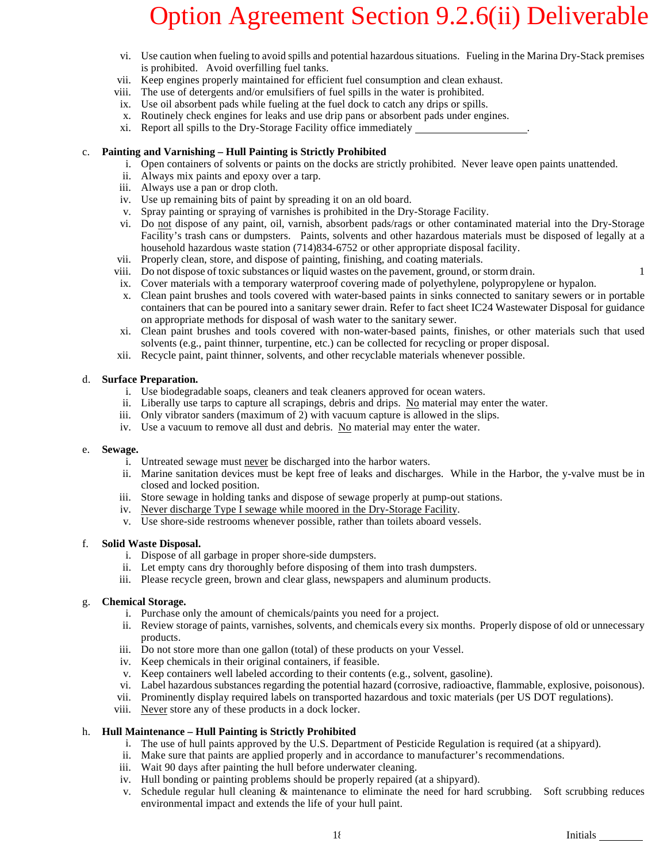- vi. Use caution when fueling to avoid spills and potential hazardous situations. Fueling in the Marina Dry-Stack premises is prohibited. Avoid overfilling fuel tanks.
- vii. Keep engines properly maintained for efficient fuel consumption and clean exhaust.
- viii. The use of detergents and/or emulsifiers of fuel spills in the water is prohibited.
- ix. Use oil absorbent pads while fueling at the fuel dock to catch any drips or spills.
- x. Routinely check engines for leaks and use drip pans or absorbent pads under engines.
- xi. Report all spills to the Dry-Storage Facility office immediately .

### c. **Painting and Varnishing – Hull Painting is Strictly Prohibited**

- i. Open containers of solvents or paints on the docks are strictly prohibited. Never leave open paints unattended.
- ii. Always mix paints and epoxy over a tarp.
- iii. Always use a pan or drop cloth.
- iv. Use up remaining bits of paint by spreading it on an old board.
- v. Spray painting or spraying of varnishes is prohibited in the Dry-Storage Facility.
- vi. Do not dispose of any paint, oil, varnish, absorbent pads/rags or other contaminated material into the Dry-Storage Facility's trash cans or dumpsters. Paints, solvents and other hazardous materials must be disposed of legally at a household hazardous waste station (714)834-6752 or other appropriate disposal facility.
- vii. Properly clean, store, and dispose of painting, finishing, and coating materials.
- viii. Do not dispose of toxic substances or liquid wastes on the pavement, ground, or storm drain. 1
- ix. Cover materials with a temporary waterproof covering made of polyethylene, polypropylene or hypalon.
- x. Clean paint brushes and tools covered with water-based paints in sinks connected to sanitary sewers or in portable containers that can be poured into a sanitary sewer drain. Refer to fact sheet IC24 Wastewater Disposal for guidance on appropriate methods for disposal of wash water to the sanitary sewer.
- xi. Clean paint brushes and tools covered with non-water-based paints, finishes, or other materials such that used solvents (e.g., paint thinner, turpentine, etc.) can be collected for recycling or proper disposal.
- xii. Recycle paint, paint thinner, solvents, and other recyclable materials whenever possible.

#### d. **Surface Preparation.**

- i. Use biodegradable soaps, cleaners and teak cleaners approved for ocean waters.
- ii. Liberally use tarps to capture all scrapings, debris and drips. No material may enter the water.
- iii. Only vibrator sanders (maximum of 2) with vacuum capture is allowed in the slips.
- iv. Use a vacuum to remove all dust and debris. No material may enter the water.

#### e. **Sewage.**

- i. Untreated sewage must never be discharged into the harbor waters.
- ii. Marine sanitation devices must be kept free of leaks and discharges. While in the Harbor, the y-valve must be in closed and locked position.
- iii. Store sewage in holding tanks and dispose of sewage properly at pump-out stations.
- iv. Never discharge Type I sewage while moored in the Dry-Storage Facility.
- v. Use shore-side restrooms whenever possible, rather than toilets aboard vessels.

### f. **Solid Waste Disposal.**

- i. Dispose of all garbage in proper shore-side dumpsters.
- ii. Let empty cans dry thoroughly before disposing of them into trash dumpsters.
- iii. Please recycle green, brown and clear glass, newspapers and aluminum products.

### g. **Chemical Storage.**

- i. Purchase only the amount of chemicals/paints you need for a project.
- ii. Review storage of paints, varnishes, solvents, and chemicals every six months. Properly dispose of old or unnecessary products.
- iii. Do not store more than one gallon (total) of these products on your Vessel.
- iv. Keep chemicals in their original containers, if feasible.
- v. Keep containers well labeled according to their contents (e.g., solvent, gasoline).
- vi. Label hazardous substances regarding the potential hazard (corrosive, radioactive, flammable, explosive, poisonous).
- vii. Prominently display required labels on transported hazardous and toxic materials (per US DOT regulations).
- viii. Never store any of these products in a dock locker.

### h. **Hull Maintenance – Hull Painting is Strictly Prohibited**

- i. The use of hull paints approved by the U.S. Department of Pesticide Regulation is required (at a shipyard).
- ii. Make sure that paints are applied properly and in accordance to manufacturer's recommendations.
- iii. Wait 90 days after painting the hull before underwater cleaning.
- iv. Hull bonding or painting problems should be properly repaired (at a shipyard).
- v. Schedule regular hull cleaning & maintenance to eliminate the need for hard scrubbing. Soft scrubbing reduces environmental impact and extends the life of your hull paint.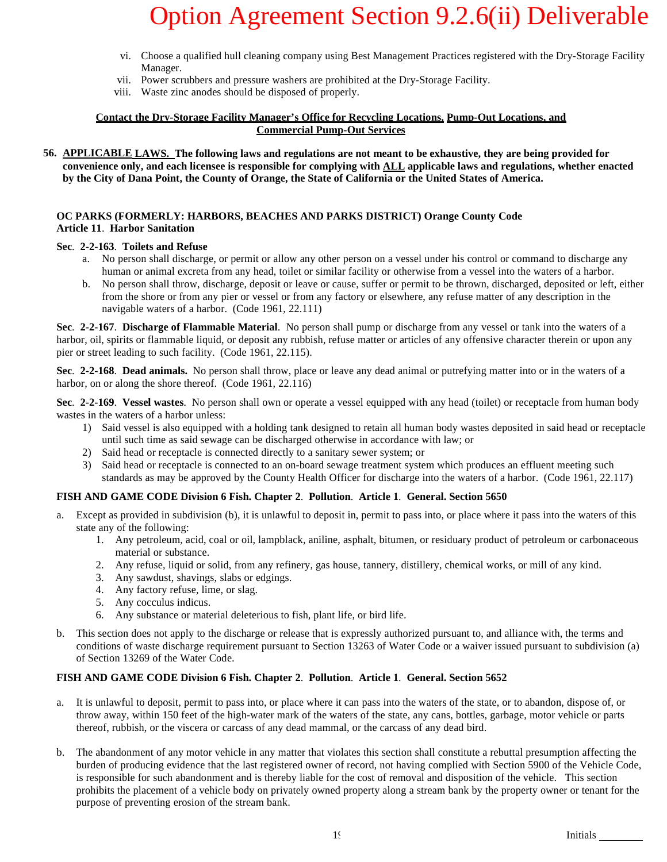- vi. Choose a qualified hull cleaning company using Best Management Practices registered with the Dry-Storage Facility Manager.
- vii. Power scrubbers and pressure washers are prohibited at the Dry-Storage Facility.
- viii. Waste zinc anodes should be disposed of properly.

### **Contact the Dry-Storage Facility Manager's Office for Recycling Locations, Pump-Out Locations, and Commercial Pump-Out Services**

**56. APPLICABLE LAWS. The following laws and regulations are not meant to be exhaustive, they are being provided for convenience only, and each licensee is responsible for complying with ALL applicable laws and regulations, whether enacted by the City of Dana Point, the County of Orange, the State of California or the United States of America.**

### **OC PARKS (FORMERLY: HARBORS, BEACHES AND PARKS DISTRICT) Orange County Code Article 11**. **Harbor Sanitation**

### **Sec**. **2-2-163**. **Toilets and Refuse**

- a. No person shall discharge, or permit or allow any other person on a vessel under his control or command to discharge any human or animal excreta from any head, toilet or similar facility or otherwise from a vessel into the waters of a harbor.
- b. No person shall throw, discharge, deposit or leave or cause, suffer or permit to be thrown, discharged, deposited or left, either from the shore or from any pier or vessel or from any factory or elsewhere, any refuse matter of any description in the navigable waters of a harbor. (Code 1961, 22.111)

**Sec**. **2-2-167**. **Discharge of Flammable Material**. No person shall pump or discharge from any vessel or tank into the waters of a harbor, oil, spirits or flammable liquid, or deposit any rubbish, refuse matter or articles of any offensive character therein or upon any pier or street leading to such facility. (Code 1961, 22.115).

**Sec**. **2-2-168**. **Dead animals.** No person shall throw, place or leave any dead animal or putrefying matter into or in the waters of a harbor, on or along the shore thereof. (Code 1961, 22.116)

**Sec**. **2-2-169**. **Vessel wastes**. No person shall own or operate a vessel equipped with any head (toilet) or receptacle from human body wastes in the waters of a harbor unless:

- 1) Said vessel is also equipped with a holding tank designed to retain all human body wastes deposited in said head or receptacle until such time as said sewage can be discharged otherwise in accordance with law; or
- 2) Said head or receptacle is connected directly to a sanitary sewer system; or
- 3) Said head or receptacle is connected to an on-board sewage treatment system which produces an effluent meeting such standards as may be approved by the County Health Officer for discharge into the waters of a harbor. (Code 1961, 22.117)

### **FISH AND GAME CODE Division 6 Fish. Chapter 2**. **Pollution**. **Article 1**. **General. Section 5650**

- Except as provided in subdivision (b), it is unlawful to deposit in, permit to pass into, or place where it pass into the waters of this state any of the following:
	- 1. Any petroleum, acid, coal or oil, lampblack, aniline, asphalt, bitumen, or residuary product of petroleum or carbonaceous material or substance.
	- 2. Any refuse, liquid or solid, from any refinery, gas house, tannery, distillery, chemical works, or mill of any kind.
	- 3. Any sawdust, shavings, slabs or edgings.
	- 4. Any factory refuse, lime, or slag.
	- 5. Any cocculus indicus.
	- 6. Any substance or material deleterious to fish, plant life, or bird life.
- b. This section does not apply to the discharge or release that is expressly authorized pursuant to, and alliance with, the terms and conditions of waste discharge requirement pursuant to Section 13263 of Water Code or a waiver issued pursuant to subdivision (a) of Section 13269 of the Water Code.

### **FISH AND GAME CODE Division 6 Fish. Chapter 2**. **Pollution**. **Article 1**. **General. Section 5652**

- a. It is unlawful to deposit, permit to pass into, or place where it can pass into the waters of the state, or to abandon, dispose of, or throw away, within 150 feet of the high-water mark of the waters of the state, any cans, bottles, garbage, motor vehicle or parts thereof, rubbish, or the viscera or carcass of any dead mammal, or the carcass of any dead bird.
- b. The abandonment of any motor vehicle in any matter that violates this section shall constitute a rebuttal presumption affecting the burden of producing evidence that the last registered owner of record, not having complied with Section 5900 of the Vehicle Code, is responsible for such abandonment and is thereby liable for the cost of removal and disposition of the vehicle. This section prohibits the placement of a vehicle body on privately owned property along a stream bank by the property owner or tenant for the purpose of preventing erosion of the stream bank.